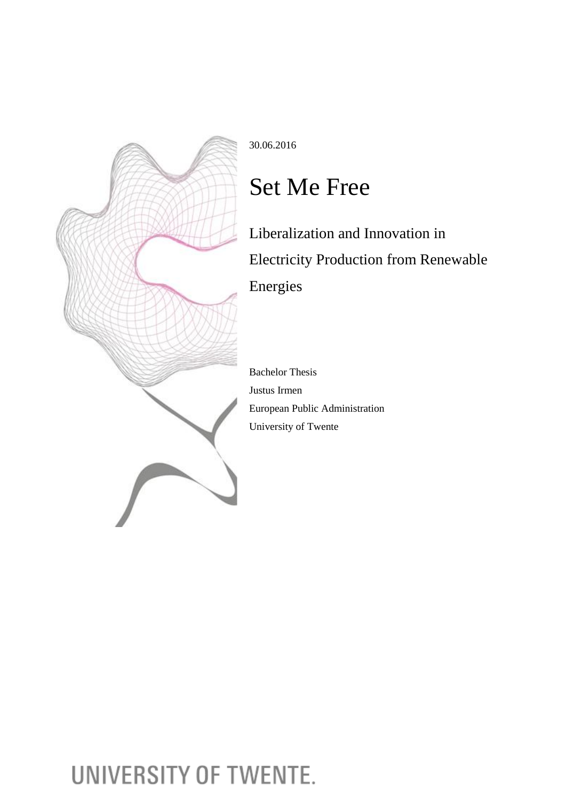30.06.2016

# Set Me Free

Liberalization and Innovation in Electricity Production from Renewable Energies

Bachelor Thesis Justus Irmen European Public Administration University of Twente

# UNIVERSITY OF TWENTE.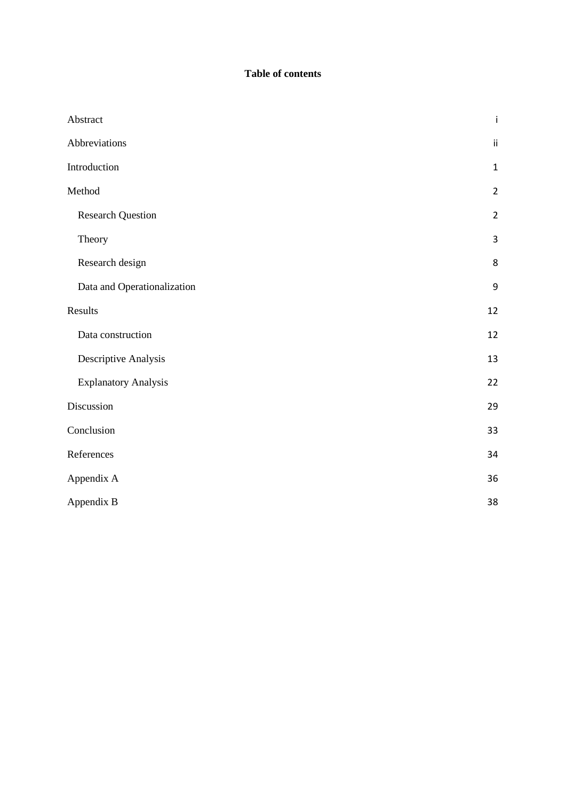# **Table of contents**

| Abstract                    | $\mathbf i$      |
|-----------------------------|------------------|
| Abbreviations               | ii               |
| Introduction                | $\mathbf 1$      |
| Method                      | $\overline{2}$   |
| <b>Research Question</b>    | $\overline{2}$   |
| Theory                      | $\overline{3}$   |
| Research design             | $\bf 8$          |
| Data and Operationalization | $\boldsymbol{9}$ |
| Results                     | 12               |
| Data construction           | $12\,$           |
| Descriptive Analysis        | 13               |
| <b>Explanatory Analysis</b> | 22               |
| Discussion                  | 29               |
| Conclusion                  | 33               |
| References                  | 34               |
| Appendix A                  | 36               |
| Appendix B                  | 38               |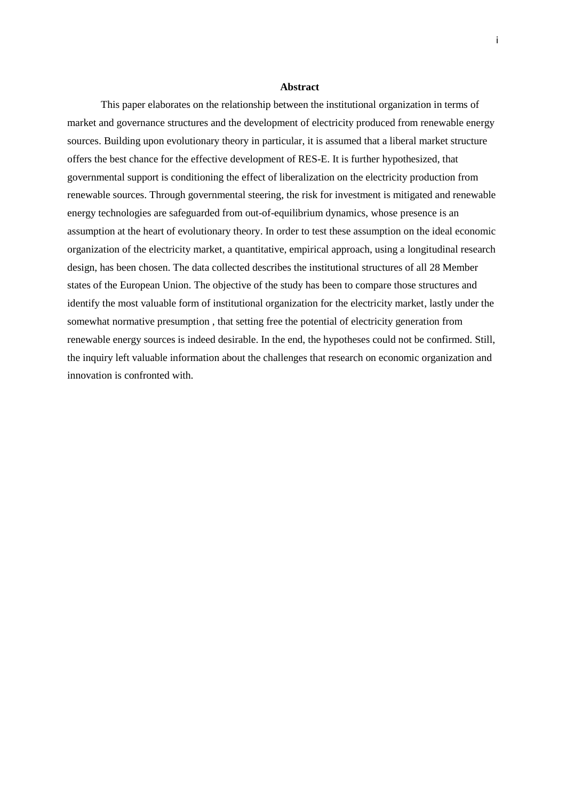#### **Abstract**

<span id="page-2-0"></span>This paper elaborates on the relationship between the institutional organization in terms of market and governance structures and the development of electricity produced from renewable energy sources. Building upon evolutionary theory in particular, it is assumed that a liberal market structure offers the best chance for the effective development of RES-E. It is further hypothesized, that governmental support is conditioning the effect of liberalization on the electricity production from renewable sources. Through governmental steering, the risk for investment is mitigated and renewable energy technologies are safeguarded from out-of-equilibrium dynamics, whose presence is an assumption at the heart of evolutionary theory. In order to test these assumption on the ideal economic organization of the electricity market, a quantitative, empirical approach, using a longitudinal research design, has been chosen. The data collected describes the institutional structures of all 28 Member states of the European Union. The objective of the study has been to compare those structures and identify the most valuable form of institutional organization for the electricity market, lastly under the somewhat normative presumption , that setting free the potential of electricity generation from renewable energy sources is indeed desirable. In the end, the hypotheses could not be confirmed. Still, the inquiry left valuable information about the challenges that research on economic organization and innovation is confronted with.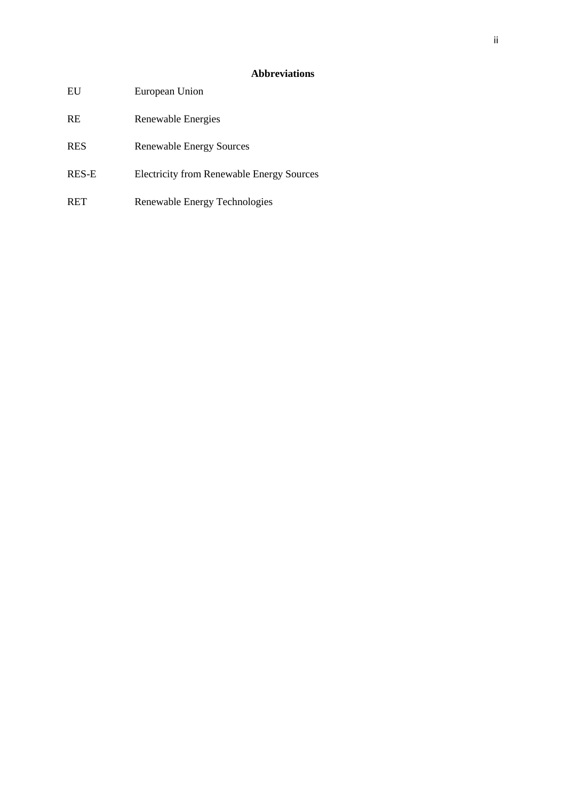# **Abbreviations**

<span id="page-3-0"></span>

| EU         | European Union                                   |
|------------|--------------------------------------------------|
| RE         | Renewable Energies                               |
| <b>RES</b> | <b>Renewable Energy Sources</b>                  |
| RES-E      | <b>Electricity from Renewable Energy Sources</b> |
| RET        | Renewable Energy Technologies                    |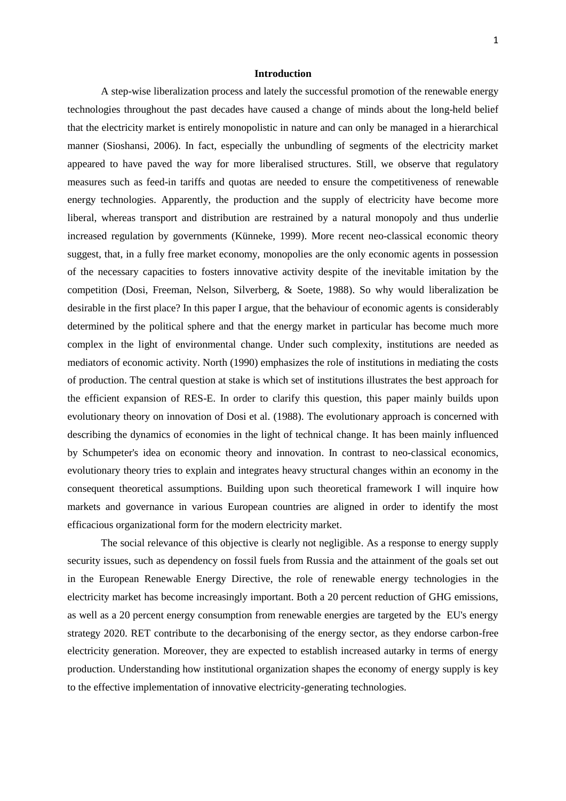# **Introduction**

<span id="page-4-0"></span>A step-wise liberalization process and lately the successful promotion of the renewable energy technologies throughout the past decades have caused a change of minds about the long-held belief that the electricity market is entirely monopolistic in nature and can only be managed in a hierarchical manner [\(Sioshansi, 2006\)](#page-37-0). In fact, especially the unbundling of segments of the electricity market appeared to have paved the way for more liberalised structures. Still, we observe that regulatory measures such as feed-in tariffs and quotas are needed to ensure the competitiveness of renewable energy technologies. Apparently, the production and the supply of electricity have become more liberal, whereas transport and distribution are restrained by a natural monopoly and thus underlie increased regulation by governments [\(Künneke, 1999\)](#page-37-1). More recent neo-classical economic theory suggest, that, in a fully free market economy, monopolies are the only economic agents in possession of the necessary capacities to fosters innovative activity despite of the inevitable imitation by the competition [\(Dosi, Freeman, Nelson, Silverberg, & Soete, 1988\)](#page-37-2). So why would liberalization be desirable in the first place? In this paper I argue, that the behaviour of economic agents is considerably determined by the political sphere and that the energy market in particular has become much more complex in the light of environmental change. Under such complexity, institutions are needed as mediators of economic activity. North [\(1990\)](#page-37-3) emphasizes the role of institutions in mediating the costs of production. The central question at stake is which set of institutions illustrates the best approach for the efficient expansion of RES-E. In order to clarify this question, this paper mainly builds upon evolutionary theory on innovation of Dosi et al. [\(1988\)](#page-37-2). The evolutionary approach is concerned with describing the dynamics of economies in the light of technical change. It has been mainly influenced by Schumpeter's idea on economic theory and innovation. In contrast to neo-classical economics, evolutionary theory tries to explain and integrates heavy structural changes within an economy in the consequent theoretical assumptions. Building upon such theoretical framework I will inquire how markets and governance in various European countries are aligned in order to identify the most efficacious organizational form for the modern electricity market.

The social relevance of this objective is clearly not negligible. As a response to energy supply security issues, such as dependency on fossil fuels from Russia and the attainment of the goals set out in the European Renewable Energy Directive, the role of renewable energy technologies in the electricity market has become increasingly important. Both a 20 percent reduction of GHG emissions, as well as a 20 percent energy consumption from renewable energies are targeted by the EU's energy strategy 2020. RET contribute to the decarbonising of the energy sector, as they endorse carbon-free electricity generation. Moreover, they are expected to establish increased autarky in terms of energy production. Understanding how institutional organization shapes the economy of energy supply is key to the effective implementation of innovative electricity-generating technologies.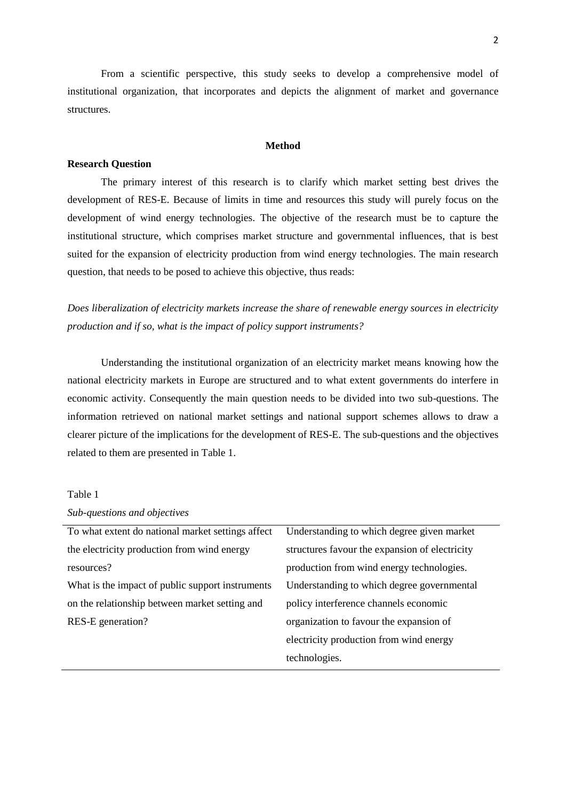From a scientific perspective, this study seeks to develop a comprehensive model of institutional organization, that incorporates and depicts the alignment of market and governance structures.

# **Method**

# <span id="page-5-1"></span><span id="page-5-0"></span>**Research Question**

The primary interest of this research is to clarify which market setting best drives the development of RES-E. Because of limits in time and resources this study will purely focus on the development of wind energy technologies. The objective of the research must be to capture the institutional structure, which comprises market structure and governmental influences, that is best suited for the expansion of electricity production from wind energy technologies. The main research question, that needs to be posed to achieve this objective, thus reads:

*Does liberalization of electricity markets increase the share of renewable energy sources in electricity production and if so, what is the impact of policy support instruments?*

Understanding the institutional organization of an electricity market means knowing how the national electricity markets in Europe are structured and to what extent governments do interfere in economic activity. Consequently the main question needs to be divided into two sub-questions. The information retrieved on national market settings and national support schemes allows to draw a clearer picture of the implications for the development of RES-E. The sub-questions and the objectives related to them are presented in Table 1.

# Table 1

<span id="page-5-2"></span>

| Sub-questions and objectives                      |                                                |
|---------------------------------------------------|------------------------------------------------|
| To what extent do national market settings affect | Understanding to which degree given market     |
| the electricity production from wind energy       | structures favour the expansion of electricity |
| resources?                                        | production from wind energy technologies.      |
| What is the impact of public support instruments  | Understanding to which degree governmental     |
| on the relationship between market setting and    | policy interference channels economic          |
| RES-E generation?                                 | organization to favour the expansion of        |
|                                                   | electricity production from wind energy        |
|                                                   | technologies.                                  |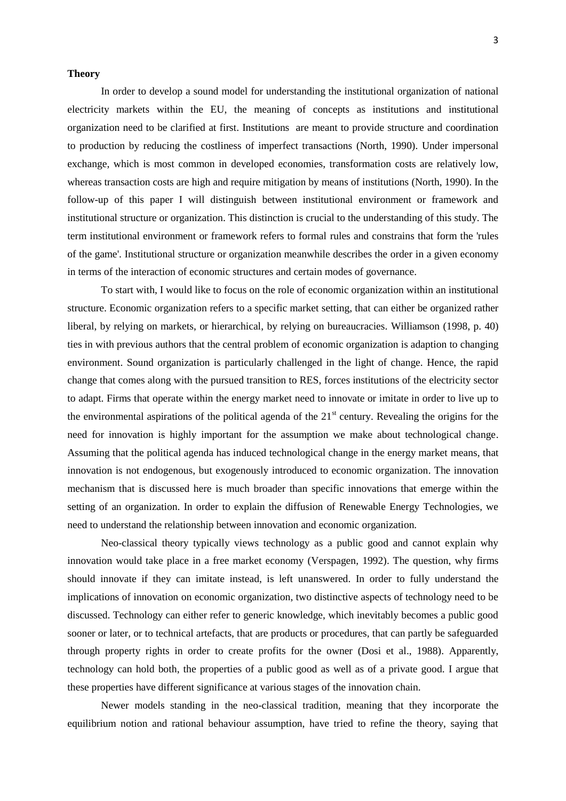#### **Theory**

In order to develop a sound model for understanding the institutional organization of national electricity markets within the EU, the meaning of concepts as institutions and institutional organization need to be clarified at first. Institutions are meant to provide structure and coordination to production by reducing the costliness of imperfect transactions [\(North, 1990\)](#page-37-3). Under impersonal exchange, which is most common in developed economies, transformation costs are relatively low, whereas transaction costs are high and require mitigation by means of institutions [\(North, 1990\)](#page-37-3). In the follow-up of this paper I will distinguish between institutional environment or framework and institutional structure or organization. This distinction is crucial to the understanding of this study. The term institutional environment or framework refers to formal rules and constrains that form the 'rules of the game'. Institutional structure or organization meanwhile describes the order in a given economy in terms of the interaction of economic structures and certain modes of governance.

To start with, I would like to focus on the role of economic organization within an institutional structure. Economic organization refers to a specific market setting, that can either be organized rather liberal, by relying on markets, or hierarchical, by relying on bureaucracies. Williamson [\(1998, p. 40\)](#page-37-4) ties in with previous authors that the central problem of economic organization is adaption to changing environment. Sound organization is particularly challenged in the light of change. Hence, the rapid change that comes along with the pursued transition to RES, forces institutions of the electricity sector to adapt. Firms that operate within the energy market need to innovate or imitate in order to live up to the environmental aspirations of the political agenda of the  $21<sup>st</sup>$  century. Revealing the origins for the need for innovation is highly important for the assumption we make about technological change. Assuming that the political agenda has induced technological change in the energy market means, that innovation is not endogenous, but exogenously introduced to economic organization. The innovation mechanism that is discussed here is much broader than specific innovations that emerge within the setting of an organization. In order to explain the diffusion of Renewable Energy Technologies, we need to understand the relationship between innovation and economic organization.

Neo-classical theory typically views technology as a public good and cannot explain why innovation would take place in a free market economy [\(Verspagen, 1992\)](#page-37-5). The question, why firms should innovate if they can imitate instead, is left unanswered. In order to fully understand the implications of innovation on economic organization, two distinctive aspects of technology need to be discussed. Technology can either refer to generic knowledge, which inevitably becomes a public good sooner or later, or to technical artefacts, that are products or procedures, that can partly be safeguarded through property rights in order to create profits for the owner [\(Dosi et al., 1988\)](#page-37-2). Apparently, technology can hold both, the properties of a public good as well as of a private good. I argue that these properties have different significance at various stages of the innovation chain.

Newer models standing in the neo-classical tradition, meaning that they incorporate the equilibrium notion and rational behaviour assumption, have tried to refine the theory, saying that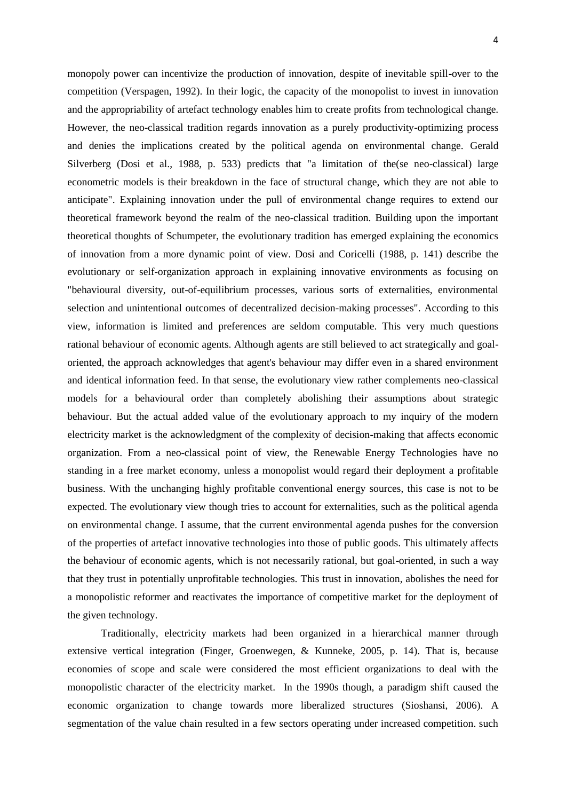monopoly power can incentivize the production of innovation, despite of inevitable spill-over to the competition [\(Verspagen, 1992\)](#page-37-5). In their logic, the capacity of the monopolist to invest in innovation and the appropriability of artefact technology enables him to create profits from technological change. However, the neo-classical tradition regards innovation as a purely productivity-optimizing process and denies the implications created by the political agenda on environmental change. Gerald Silverberg [\(Dosi et al., 1988, p. 533\)](#page-37-2) predicts that "a limitation of the(se neo-classical) large econometric models is their breakdown in the face of structural change, which they are not able to anticipate". Explaining innovation under the pull of environmental change requires to extend our theoretical framework beyond the realm of the neo-classical tradition. Building upon the important theoretical thoughts of Schumpeter, the evolutionary tradition has emerged explaining the economics of innovation from a more dynamic point of view. Dosi and Coricelli [\(1988, p. 141\)](#page-37-2) describe the evolutionary or self-organization approach in explaining innovative environments as focusing on "behavioural diversity, out-of-equilibrium processes, various sorts of externalities, environmental selection and unintentional outcomes of decentralized decision-making processes". According to this view, information is limited and preferences are seldom computable. This very much questions rational behaviour of economic agents. Although agents are still believed to act strategically and goaloriented, the approach acknowledges that agent's behaviour may differ even in a shared environment and identical information feed. In that sense, the evolutionary view rather complements neo-classical models for a behavioural order than completely abolishing their assumptions about strategic behaviour. But the actual added value of the evolutionary approach to my inquiry of the modern electricity market is the acknowledgment of the complexity of decision-making that affects economic organization. From a neo-classical point of view, the Renewable Energy Technologies have no standing in a free market economy, unless a monopolist would regard their deployment a profitable business. With the unchanging highly profitable conventional energy sources, this case is not to be expected. The evolutionary view though tries to account for externalities, such as the political agenda on environmental change. I assume, that the current environmental agenda pushes for the conversion of the properties of artefact innovative technologies into those of public goods. This ultimately affects the behaviour of economic agents, which is not necessarily rational, but goal-oriented, in such a way that they trust in potentially unprofitable technologies. This trust in innovation, abolishes the need for a monopolistic reformer and reactivates the importance of competitive market for the deployment of the given technology.

Traditionally, electricity markets had been organized in a hierarchical manner through extensive vertical integration [\(Finger, Groenwegen, & Kunneke, 2005, p. 14\)](#page-37-6). That is, because economies of scope and scale were considered the most efficient organizations to deal with the monopolistic character of the electricity market. In the 1990s though, a paradigm shift caused the economic organization to change towards more liberalized structures [\(Sioshansi, 2006\)](#page-37-0). A segmentation of the value chain resulted in a few sectors operating under increased competition. such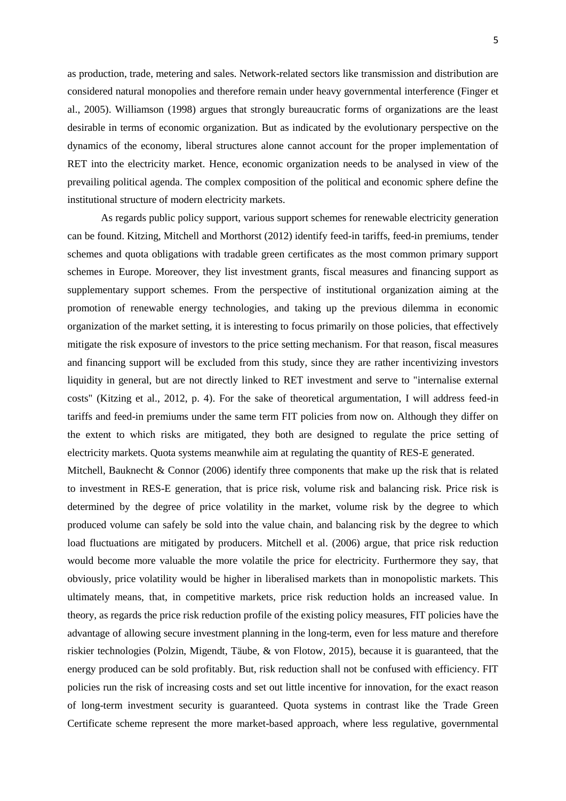as production, trade, metering and sales. Network-related sectors like transmission and distribution are considered natural monopolies and therefore remain under heavy governmental interference [\(Finger et](#page-37-6)  [al., 2005\)](#page-37-6). Williamson [\(1998\)](#page-37-4) argues that strongly bureaucratic forms of organizations are the least desirable in terms of economic organization. But as indicated by the evolutionary perspective on the dynamics of the economy, liberal structures alone cannot account for the proper implementation of RET into the electricity market. Hence, economic organization needs to be analysed in view of the prevailing political agenda. The complex composition of the political and economic sphere define the institutional structure of modern electricity markets.

As regards public policy support, various support schemes for renewable electricity generation can be found. Kitzing, Mitchell and Morthorst [\(2012\)](#page-37-7) identify feed-in tariffs, feed-in premiums, tender schemes and quota obligations with tradable green certificates as the most common primary support schemes in Europe. Moreover, they list investment grants, fiscal measures and financing support as supplementary support schemes. From the perspective of institutional organization aiming at the promotion of renewable energy technologies, and taking up the previous dilemma in economic organization of the market setting, it is interesting to focus primarily on those policies, that effectively mitigate the risk exposure of investors to the price setting mechanism. For that reason, fiscal measures and financing support will be excluded from this study, since they are rather incentivizing investors liquidity in general, but are not directly linked to RET investment and serve to "internalise external costs" [\(Kitzing et al., 2012, p. 4\)](#page-37-7). For the sake of theoretical argumentation, I will address feed-in tariffs and feed-in premiums under the same term FIT policies from now on. Although they differ on the extent to which risks are mitigated, they both are designed to regulate the price setting of electricity markets. Quota systems meanwhile aim at regulating the quantity of RES-E generated.

Mitchell, Bauknecht & Connor [\(2006\)](#page-37-8) identify three components that make up the risk that is related to investment in RES-E generation, that is price risk, volume risk and balancing risk. Price risk is determined by the degree of price volatility in the market, volume risk by the degree to which produced volume can safely be sold into the value chain, and balancing risk by the degree to which load fluctuations are mitigated by producers. Mitchell et al. [\(2006\)](#page-37-8) argue, that price risk reduction would become more valuable the more volatile the price for electricity. Furthermore they say, that obviously, price volatility would be higher in liberalised markets than in monopolistic markets. This ultimately means, that, in competitive markets, price risk reduction holds an increased value. In theory, as regards the price risk reduction profile of the existing policy measures, FIT policies have the advantage of allowing secure investment planning in the long-term, even for less mature and therefore riskier technologies [\(Polzin, Migendt, Täube, & von Flotow, 2015\)](#page-37-9), because it is guaranteed, that the energy produced can be sold profitably. But, risk reduction shall not be confused with efficiency. FIT policies run the risk of increasing costs and set out little incentive for innovation, for the exact reason of long-term investment security is guaranteed. Quota systems in contrast like the Trade Green Certificate scheme represent the more market-based approach, where less regulative, governmental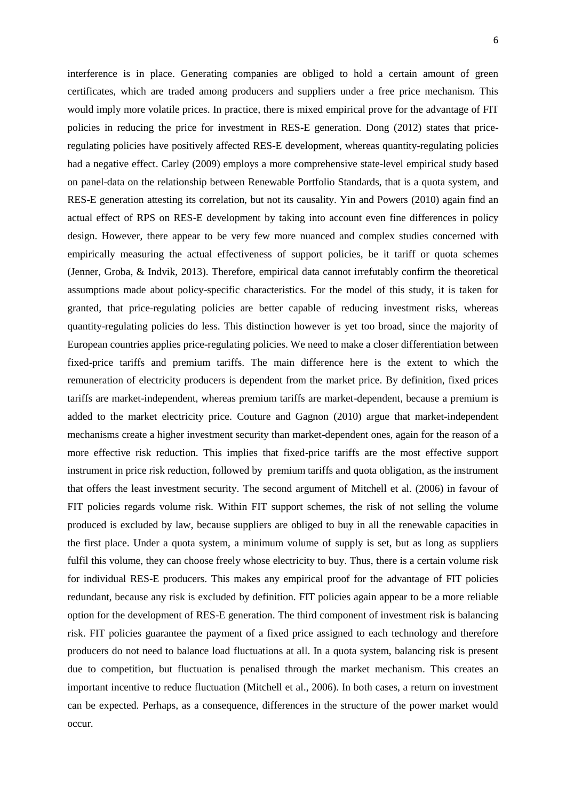interference is in place. Generating companies are obliged to hold a certain amount of green certificates, which are traded among producers and suppliers under a free price mechanism. This would imply more volatile prices. In practice, there is mixed empirical prove for the advantage of FIT policies in reducing the price for investment in RES-E generation. Dong [\(2012\)](#page-37-10) states that priceregulating policies have positively affected RES-E development, whereas quantity-regulating policies had a negative effect. Carley [\(2009\)](#page-37-11) employs a more comprehensive state-level empirical study based on panel-data on the relationship between Renewable Portfolio Standards, that is a quota system, and RES-E generation attesting its correlation, but not its causality. Yin and Powers [\(2010\)](#page-38-0) again find an actual effect of RPS on RES-E development by taking into account even fine differences in policy design. However, there appear to be very few more nuanced and complex studies concerned with empirically measuring the actual effectiveness of support policies, be it tariff or quota schemes [\(Jenner, Groba, & Indvik, 2013\)](#page-37-12). Therefore, empirical data cannot irrefutably confirm the theoretical assumptions made about policy-specific characteristics. For the model of this study, it is taken for granted, that price-regulating policies are better capable of reducing investment risks, whereas quantity-regulating policies do less. This distinction however is yet too broad, since the majority of European countries applies price-regulating policies. We need to make a closer differentiation between fixed-price tariffs and premium tariffs. The main difference here is the extent to which the remuneration of electricity producers is dependent from the market price. By definition, fixed prices tariffs are market-independent, whereas premium tariffs are market-dependent, because a premium is added to the market electricity price. Couture and Gagnon [\(2010\)](#page-37-13) argue that market-independent mechanisms create a higher investment security than market-dependent ones, again for the reason of a more effective risk reduction. This implies that fixed-price tariffs are the most effective support instrument in price risk reduction, followed by premium tariffs and quota obligation, as the instrument that offers the least investment security. The second argument of Mitchell et al. [\(2006\)](#page-37-8) in favour of FIT policies regards volume risk. Within FIT support schemes, the risk of not selling the volume produced is excluded by law, because suppliers are obliged to buy in all the renewable capacities in the first place. Under a quota system, a minimum volume of supply is set, but as long as suppliers fulfil this volume, they can choose freely whose electricity to buy. Thus, there is a certain volume risk for individual RES-E producers. This makes any empirical proof for the advantage of FIT policies redundant, because any risk is excluded by definition. FIT policies again appear to be a more reliable option for the development of RES-E generation. The third component of investment risk is balancing risk. FIT policies guarantee the payment of a fixed price assigned to each technology and therefore producers do not need to balance load fluctuations at all. In a quota system, balancing risk is present due to competition, but fluctuation is penalised through the market mechanism. This creates an important incentive to reduce fluctuation [\(Mitchell et al., 2006\)](#page-37-8). In both cases, a return on investment can be expected. Perhaps, as a consequence, differences in the structure of the power market would occur.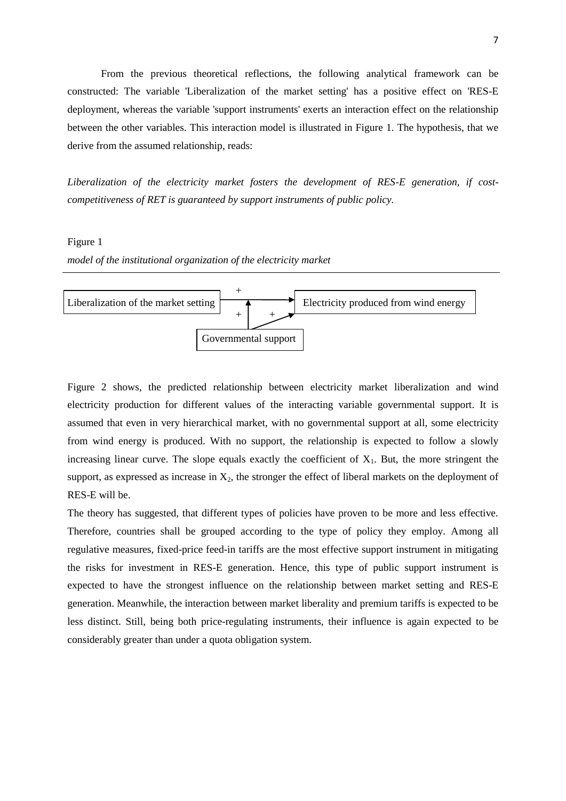From the previous theoretical reflections, the following analytical framework can be constructed: The variable 'Liberalization of the market setting' has a positive effect on 'RES-E deployment, whereas the variable 'support instruments' exerts an interaction effect on the relationship between the other variables. This interaction model is illustrated in Figure 1. The hypothesis, that we derive from the assumed relationship, reads:

*Liberalization of the electricity market fosters the development of RES-E generation, if costcompetitiveness of RET is guaranteed by support instruments of public policy.*

#### Figure 1

*model of the institutional organization of the electricity market*



Figure 2 shows, the predicted relationship between electricity market liberalization and wind electricity production for different values of the interacting variable governmental support. It is assumed that even in very hierarchical market, with no governmental support at all, some electricity from wind energy is produced. With no support, the relationship is expected to follow a slowly increasing linear curve. The slope equals exactly the coefficient of  $X_1$ . But, the more stringent the support, as expressed as increase in  $X_2$ , the stronger the effect of liberal markets on the deployment of RES-E will be.

The theory has suggested, that different types of policies have proven to be more and less effective. Therefore, countries shall be grouped according to the type of policy they employ. Among all regulative measures, fixed-price feed-in tariffs are the most effective support instrument in mitigating the risks for investment in RES-E generation. Hence, this type of public support instrument is expected to have the strongest influence on the relationship between market setting and RES-E generation. Meanwhile, the interaction between market liberality and premium tariffs is expected to be less distinct. Still, being both price-regulating instruments, their influence is again expected to be considerably greater than under a quota obligation system.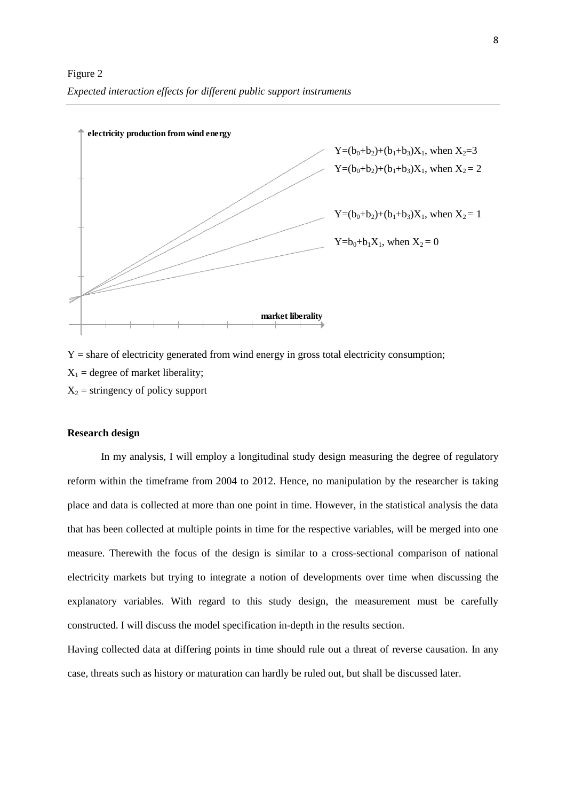

 $Y =$  share of electricity generated from wind energy in gross total electricity consumption;

 $X_1$  = degree of market liberality;

 $X_2$  = stringency of policy support

# <span id="page-11-0"></span>**Research design**

In my analysis, I will employ a longitudinal study design measuring the degree of regulatory reform within the timeframe from 2004 to 2012. Hence, no manipulation by the researcher is taking place and data is collected at more than one point in time. However, in the statistical analysis the data that has been collected at multiple points in time for the respective variables, will be merged into one measure. Therewith the focus of the design is similar to a cross-sectional comparison of national electricity markets but trying to integrate a notion of developments over time when discussing the explanatory variables. With regard to this study design, the measurement must be carefully constructed. I will discuss the model specification in-depth in the results section.

Having collected data at differing points in time should rule out a threat of reverse causation. In any case, threats such as history or maturation can hardly be ruled out, but shall be discussed later.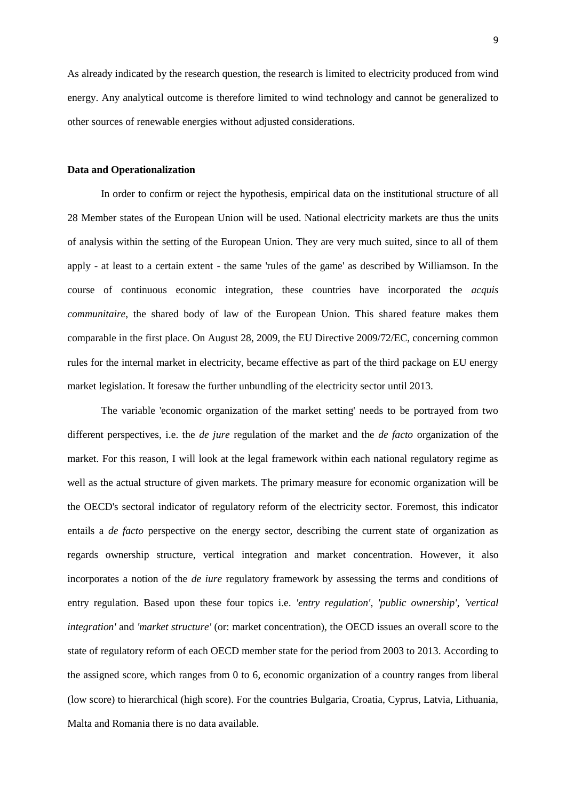As already indicated by the research question, the research is limited to electricity produced from wind energy. Any analytical outcome is therefore limited to wind technology and cannot be generalized to other sources of renewable energies without adjusted considerations.

#### <span id="page-12-0"></span>**Data and Operationalization**

In order to confirm or reject the hypothesis, empirical data on the institutional structure of all 28 Member states of the European Union will be used. National electricity markets are thus the units of analysis within the setting of the European Union. They are very much suited, since to all of them apply - at least to a certain extent - the same 'rules of the game' as described by Williamson. In the course of continuous economic integration, these countries have incorporated the *acquis communitaire*, the shared body of law of the European Union. This shared feature makes them comparable in the first place. On August 28, 2009, the EU Directive 2009/72/EC, concerning common rules for the internal market in electricity, became effective as part of the third package on EU energy market legislation. It foresaw the further unbundling of the electricity sector until 2013.

The variable 'economic organization of the market setting' needs to be portrayed from two different perspectives, i.e. the *de jure* regulation of the market and the *de facto* organization of the market. For this reason, I will look at the legal framework within each national regulatory regime as well as the actual structure of given markets. The primary measure for economic organization will be the OECD's sectoral indicator of regulatory reform of the electricity sector. Foremost, this indicator entails a *de facto* perspective on the energy sector, describing the current state of organization as regards ownership structure, vertical integration and market concentration. However, it also incorporates a notion of the *de iure* regulatory framework by assessing the terms and conditions of entry regulation. Based upon these four topics i.e. *'entry regulation'*, *'public ownership'*, *'vertical integration'* and *'market structure'* (or: market concentration), the OECD issues an overall score to the state of regulatory reform of each OECD member state for the period from 2003 to 2013. According to the assigned score, which ranges from 0 to 6, economic organization of a country ranges from liberal (low score) to hierarchical (high score). For the countries Bulgaria, Croatia, Cyprus, Latvia, Lithuania, Malta and Romania there is no data available.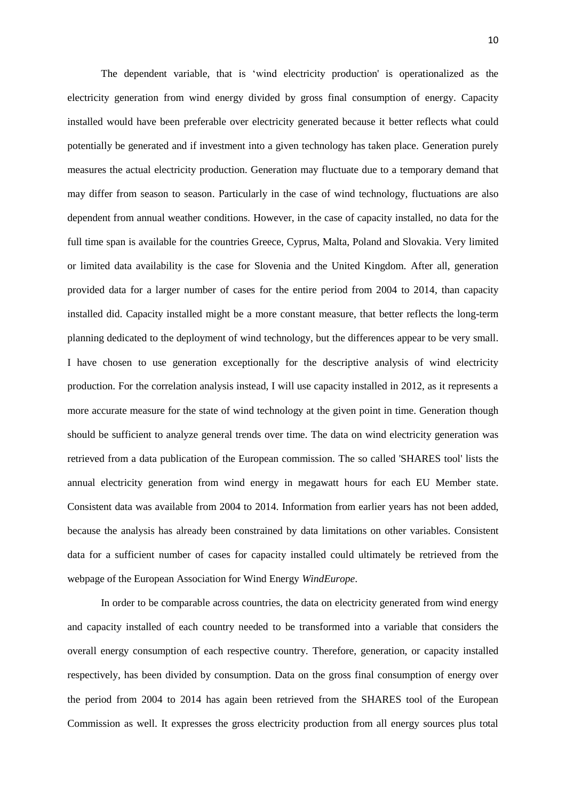The dependent variable, that is 'wind electricity production' is operationalized as the electricity generation from wind energy divided by gross final consumption of energy. Capacity installed would have been preferable over electricity generated because it better reflects what could potentially be generated and if investment into a given technology has taken place. Generation purely measures the actual electricity production. Generation may fluctuate due to a temporary demand that may differ from season to season. Particularly in the case of wind technology, fluctuations are also dependent from annual weather conditions. However, in the case of capacity installed, no data for the full time span is available for the countries Greece, Cyprus, Malta, Poland and Slovakia. Very limited or limited data availability is the case for Slovenia and the United Kingdom. After all, generation provided data for a larger number of cases for the entire period from 2004 to 2014, than capacity installed did. Capacity installed might be a more constant measure, that better reflects the long-term planning dedicated to the deployment of wind technology, but the differences appear to be very small. I have chosen to use generation exceptionally for the descriptive analysis of wind electricity production. For the correlation analysis instead, I will use capacity installed in 2012, as it represents a more accurate measure for the state of wind technology at the given point in time. Generation though should be sufficient to analyze general trends over time. The data on wind electricity generation was retrieved from a data publication of the European commission. The so called 'SHARES tool' lists the annual electricity generation from wind energy in megawatt hours for each EU Member state. Consistent data was available from 2004 to 2014. Information from earlier years has not been added, because the analysis has already been constrained by data limitations on other variables. Consistent data for a sufficient number of cases for capacity installed could ultimately be retrieved from the webpage of the European Association for Wind Energy *WindEurope*.

In order to be comparable across countries, the data on electricity generated from wind energy and capacity installed of each country needed to be transformed into a variable that considers the overall energy consumption of each respective country. Therefore, generation, or capacity installed respectively, has been divided by consumption. Data on the gross final consumption of energy over the period from 2004 to 2014 has again been retrieved from the SHARES tool of the European Commission as well. It expresses the gross electricity production from all energy sources plus total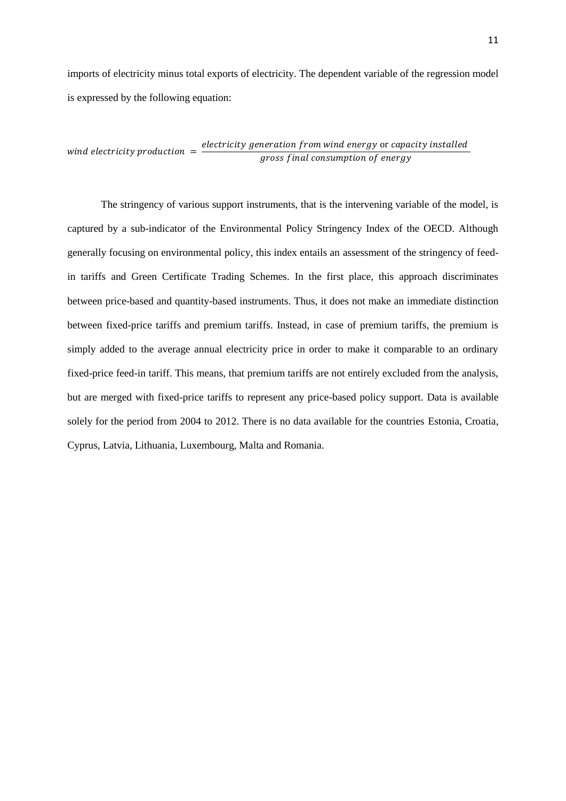imports of electricity minus total exports of electricity. The dependent variable of the regression model is expressed by the following equation:

# wind electricity production  $=$   $\frac{e}{\tau}$  $\overline{g}$

The stringency of various support instruments, that is the intervening variable of the model, is captured by a sub-indicator of the Environmental Policy Stringency Index of the OECD. Although generally focusing on environmental policy, this index entails an assessment of the stringency of feedin tariffs and Green Certificate Trading Schemes. In the first place, this approach discriminates between price-based and quantity-based instruments. Thus, it does not make an immediate distinction between fixed-price tariffs and premium tariffs. Instead, in case of premium tariffs, the premium is simply added to the average annual electricity price in order to make it comparable to an ordinary fixed-price feed-in tariff. This means, that premium tariffs are not entirely excluded from the analysis, but are merged with fixed-price tariffs to represent any price-based policy support. Data is available solely for the period from 2004 to 2012. There is no data available for the countries Estonia, Croatia, Cyprus, Latvia, Lithuania, Luxembourg, Malta and Romania.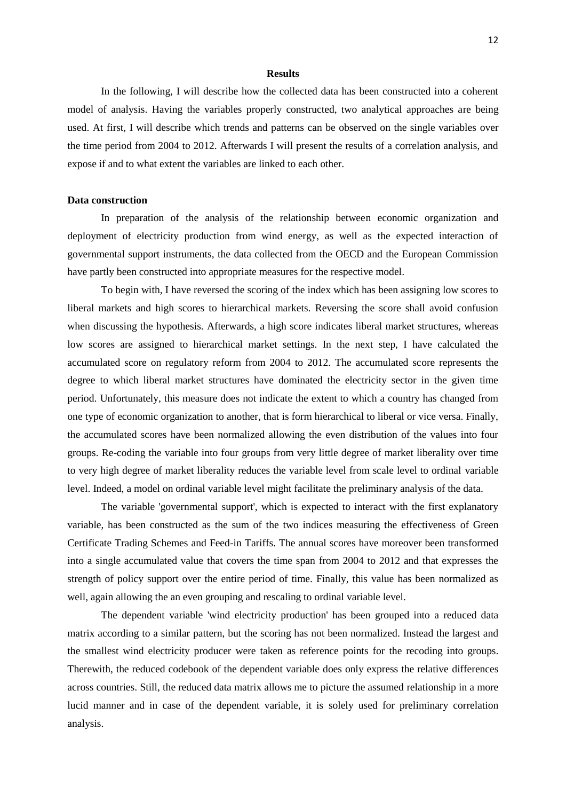#### **Results**

<span id="page-15-0"></span>In the following, I will describe how the collected data has been constructed into a coherent model of analysis. Having the variables properly constructed, two analytical approaches are being used. At first, I will describe which trends and patterns can be observed on the single variables over the time period from 2004 to 2012. Afterwards I will present the results of a correlation analysis, and expose if and to what extent the variables are linked to each other.

#### <span id="page-15-1"></span>**Data construction**

In preparation of the analysis of the relationship between economic organization and deployment of electricity production from wind energy, as well as the expected interaction of governmental support instruments, the data collected from the OECD and the European Commission have partly been constructed into appropriate measures for the respective model.

To begin with, I have reversed the scoring of the index which has been assigning low scores to liberal markets and high scores to hierarchical markets. Reversing the score shall avoid confusion when discussing the hypothesis. Afterwards, a high score indicates liberal market structures, whereas low scores are assigned to hierarchical market settings. In the next step, I have calculated the accumulated score on regulatory reform from 2004 to 2012. The accumulated score represents the degree to which liberal market structures have dominated the electricity sector in the given time period. Unfortunately, this measure does not indicate the extent to which a country has changed from one type of economic organization to another, that is form hierarchical to liberal or vice versa. Finally, the accumulated scores have been normalized allowing the even distribution of the values into four groups. Re-coding the variable into four groups from very little degree of market liberality over time to very high degree of market liberality reduces the variable level from scale level to ordinal variable level. Indeed, a model on ordinal variable level might facilitate the preliminary analysis of the data.

The variable 'governmental support', which is expected to interact with the first explanatory variable, has been constructed as the sum of the two indices measuring the effectiveness of Green Certificate Trading Schemes and Feed-in Tariffs. The annual scores have moreover been transformed into a single accumulated value that covers the time span from 2004 to 2012 and that expresses the strength of policy support over the entire period of time. Finally, this value has been normalized as well, again allowing the an even grouping and rescaling to ordinal variable level.

The dependent variable 'wind electricity production' has been grouped into a reduced data matrix according to a similar pattern, but the scoring has not been normalized. Instead the largest and the smallest wind electricity producer were taken as reference points for the recoding into groups. Therewith, the reduced codebook of the dependent variable does only express the relative differences across countries. Still, the reduced data matrix allows me to picture the assumed relationship in a more lucid manner and in case of the dependent variable, it is solely used for preliminary correlation analysis.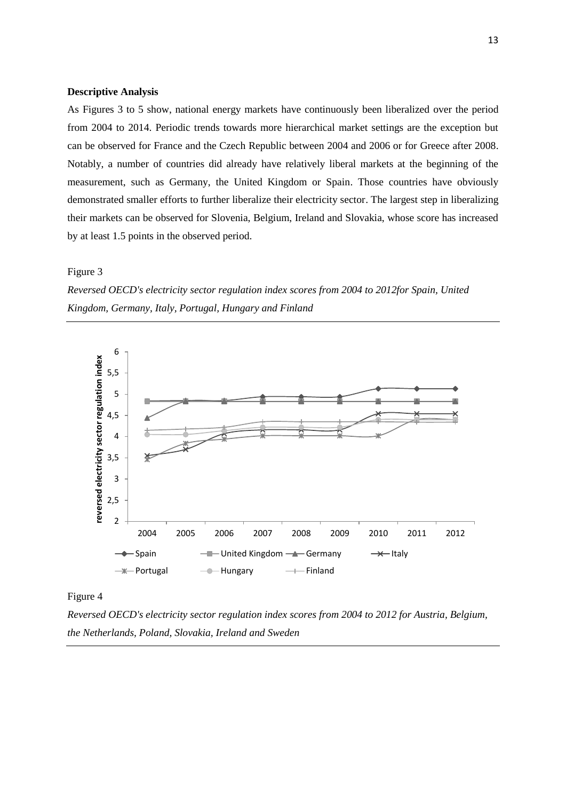# <span id="page-16-0"></span>**Descriptive Analysis**

As Figures 3 to 5 show, national energy markets have continuously been liberalized over the period from 2004 to 2014. Periodic trends towards more hierarchical market settings are the exception but can be observed for France and the Czech Republic between 2004 and 2006 or for Greece after 2008. Notably, a number of countries did already have relatively liberal markets at the beginning of the measurement, such as Germany, the United Kingdom or Spain. Those countries have obviously demonstrated smaller efforts to further liberalize their electricity sector. The largest step in liberalizing their markets can be observed for Slovenia, Belgium, Ireland and Slovakia, whose score has increased by at least 1.5 points in the observed period.

#### Figure 3

*Reversed OECD's electricity sector regulation index scores from 2004 to 2012for Spain, United Kingdom, Germany, Italy, Portugal, Hungary and Finland*



#### Figure 4

*Reversed OECD's electricity sector regulation index scores from 2004 to 2012 for Austria, Belgium, the Netherlands, Poland, Slovakia, Ireland and Sweden*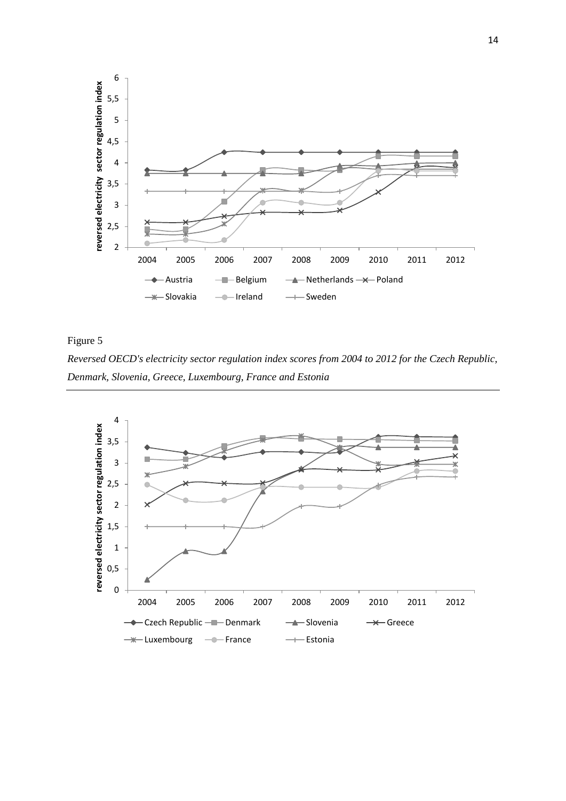



*Reversed OECD's electricity sector regulation index scores from 2004 to 2012 for the Czech Republic, Denmark, Slovenia, Greece, Luxembourg, France and Estonia*

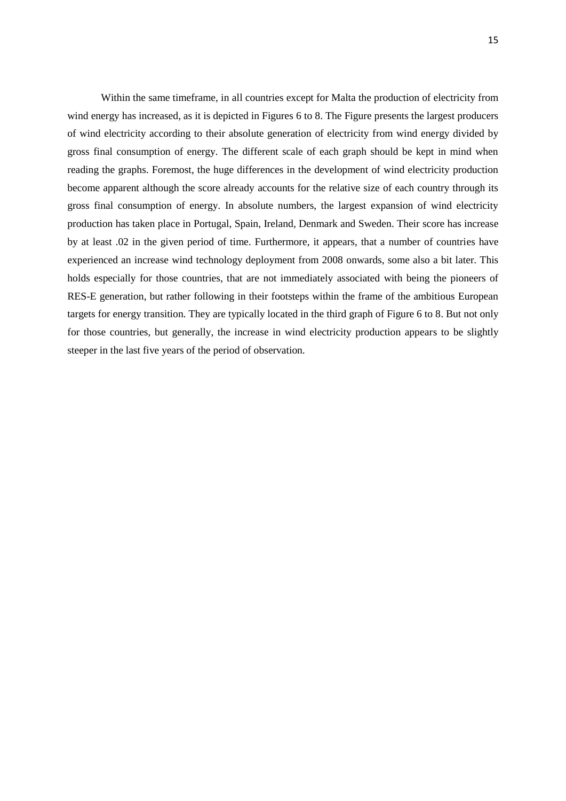Within the same timeframe, in all countries except for Malta the production of electricity from wind energy has increased, as it is depicted in Figures 6 to 8. The Figure presents the largest producers of wind electricity according to their absolute generation of electricity from wind energy divided by gross final consumption of energy. The different scale of each graph should be kept in mind when reading the graphs. Foremost, the huge differences in the development of wind electricity production become apparent although the score already accounts for the relative size of each country through its gross final consumption of energy. In absolute numbers, the largest expansion of wind electricity production has taken place in Portugal, Spain, Ireland, Denmark and Sweden. Their score has increase by at least .02 in the given period of time. Furthermore, it appears, that a number of countries have experienced an increase wind technology deployment from 2008 onwards, some also a bit later. This holds especially for those countries, that are not immediately associated with being the pioneers of RES-E generation, but rather following in their footsteps within the frame of the ambitious European targets for energy transition. They are typically located in the third graph of Figure 6 to 8. But not only for those countries, but generally, the increase in wind electricity production appears to be slightly steeper in the last five years of the period of observation.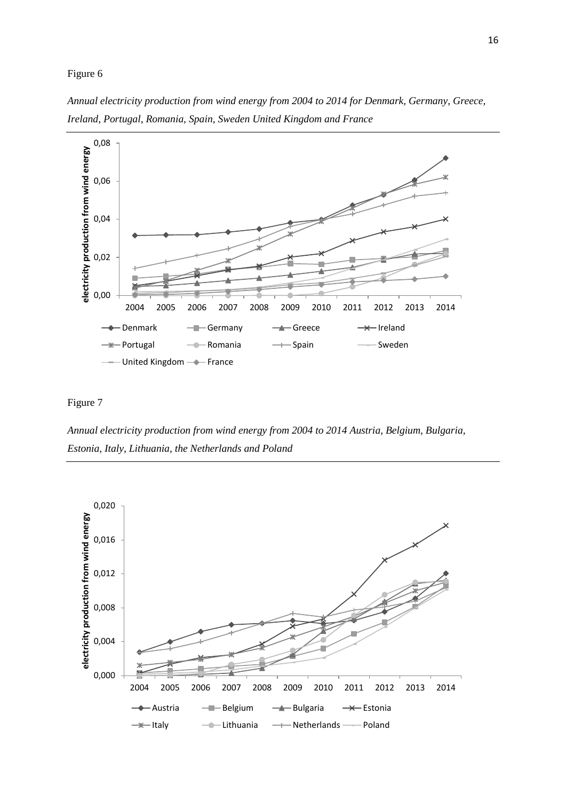*Annual electricity production from wind energy from 2004 to 2014 for Denmark, Germany, Greece, Ireland, Portugal, Romania, Spain, Sweden United Kingdom and France*



# Figure 7

*Annual electricity production from wind energy from 2004 to 2014 Austria, Belgium, Bulgaria, Estonia, Italy, Lithuania, the Netherlands and Poland*

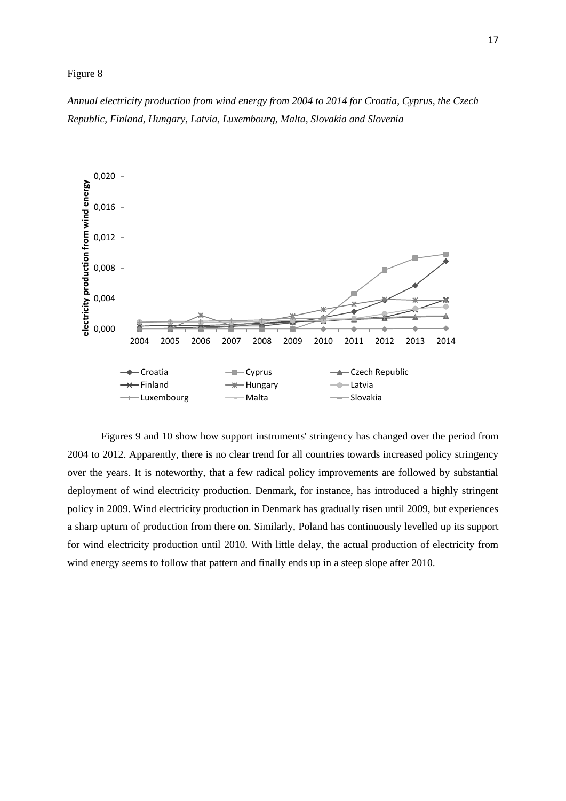*Annual electricity production from wind energy from 2004 to 2014 for Croatia, Cyprus, the Czech Republic, Finland, Hungary, Latvia, Luxembourg, Malta, Slovakia and Slovenia*



Figures 9 and 10 show how support instruments' stringency has changed over the period from 2004 to 2012. Apparently, there is no clear trend for all countries towards increased policy stringency over the years. It is noteworthy, that a few radical policy improvements are followed by substantial deployment of wind electricity production. Denmark, for instance, has introduced a highly stringent policy in 2009. Wind electricity production in Denmark has gradually risen until 2009, but experiences a sharp upturn of production from there on. Similarly, Poland has continuously levelled up its support for wind electricity production until 2010. With little delay, the actual production of electricity from wind energy seems to follow that pattern and finally ends up in a steep slope after 2010.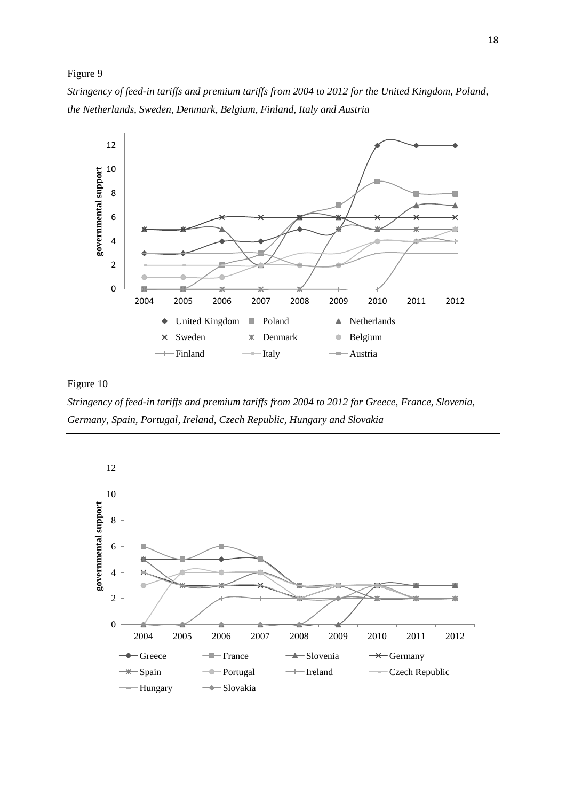*Stringency of feed-in tariffs and premium tariffs from 2004 to 2012 for the United Kingdom, Poland, the Netherlands, Sweden, Denmark, Belgium, Finland, Italy and Austria*



# Figure 10

*Stringency of feed-in tariffs and premium tariffs from 2004 to 2012 for Greece, France, Slovenia, Germany, Spain, Portugal, Ireland, Czech Republic, Hungary and Slovakia*

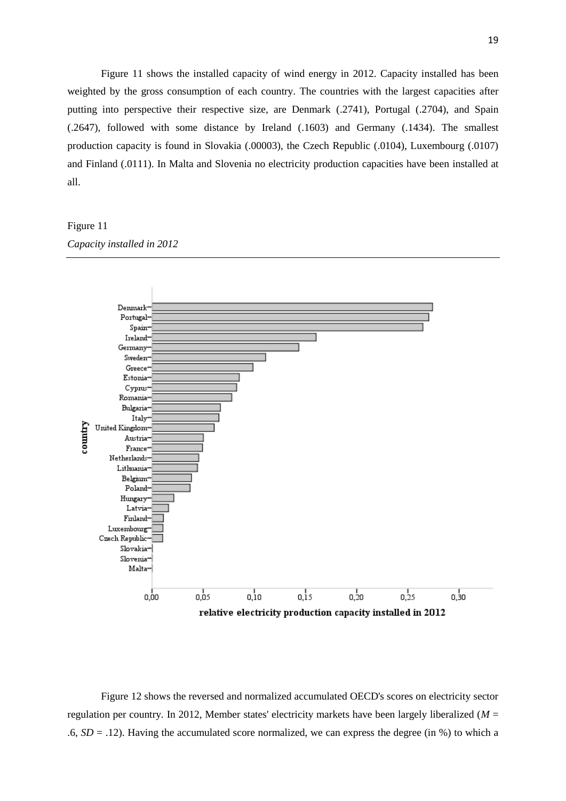Figure 11 shows the installed capacity of wind energy in 2012. Capacity installed has been weighted by the gross consumption of each country. The countries with the largest capacities after putting into perspective their respective size, are Denmark (.2741), Portugal (.2704), and Spain (.2647), followed with some distance by Ireland (.1603) and Germany (.1434). The smallest production capacity is found in Slovakia (.00003), the Czech Republic (.0104), Luxembourg (.0107) and Finland (.0111). In Malta and Slovenia no electricity production capacities have been installed at all.

# Figure 11

*Capacity installed in 2012*



Figure 12 shows the reversed and normalized accumulated OECD's scores on electricity sector regulation per country. In 2012, Member states' electricity markets have been largely liberalized (*M* = .6,  $SD = .12$ ). Having the accumulated score normalized, we can express the degree (in %) to which a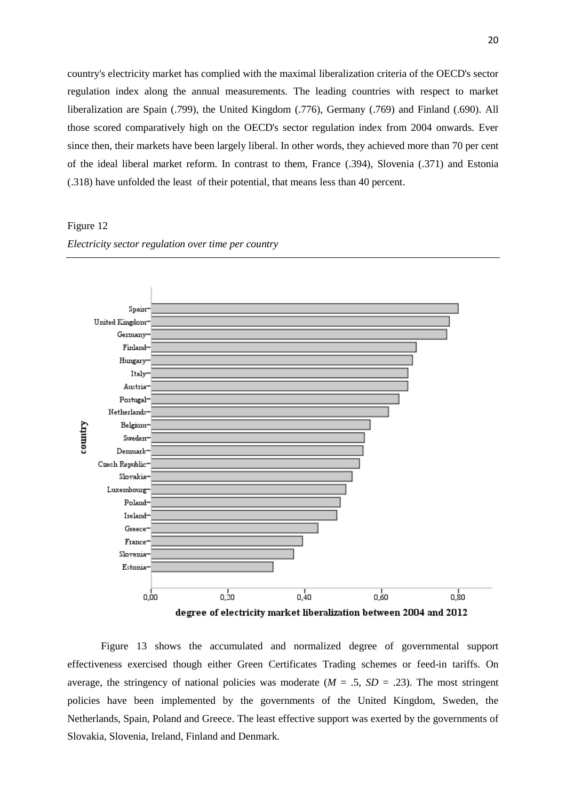country's electricity market has complied with the maximal liberalization criteria of the OECD's sector regulation index along the annual measurements. The leading countries with respect to market liberalization are Spain (.799), the United Kingdom (.776), Germany (.769) and Finland (.690). All those scored comparatively high on the OECD's sector regulation index from 2004 onwards. Ever since then, their markets have been largely liberal. In other words, they achieved more than 70 per cent of the ideal liberal market reform. In contrast to them, France (.394), Slovenia (.371) and Estonia (.318) have unfolded the least of their potential, that means less than 40 percent.

# Figure 12





degree of electricity market liberalization between 2004 and 2012

Figure 13 shows the accumulated and normalized degree of governmental support effectiveness exercised though either Green Certificates Trading schemes or feed-in tariffs. On average, the stringency of national policies was moderate  $(M = .5, SD = .23)$ . The most stringent policies have been implemented by the governments of the United Kingdom, Sweden, the Netherlands, Spain, Poland and Greece. The least effective support was exerted by the governments of Slovakia, Slovenia, Ireland, Finland and Denmark.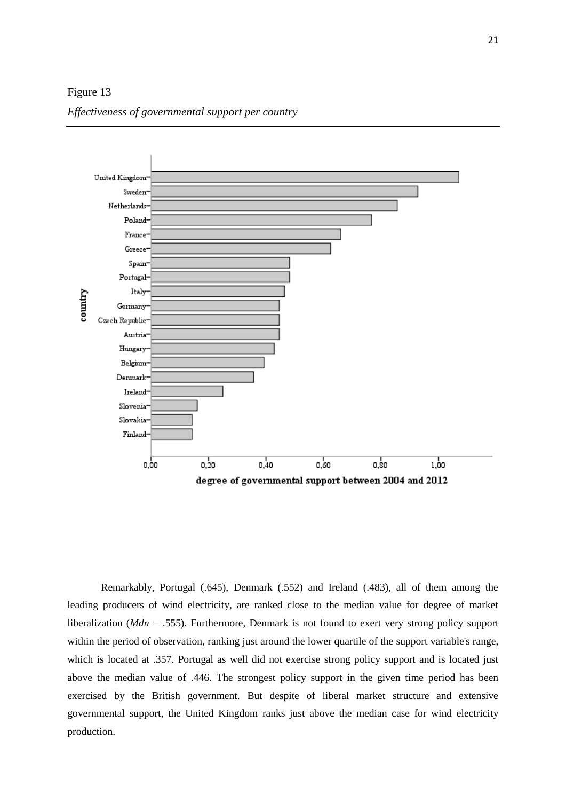Figure 13



*Effectiveness of governmental support per country*

Remarkably, Portugal (.645), Denmark (.552) and Ireland (.483), all of them among the leading producers of wind electricity, are ranked close to the median value for degree of market liberalization (*Mdn* = .555). Furthermore, Denmark is not found to exert very strong policy support within the period of observation, ranking just around the lower quartile of the support variable's range, which is located at .357. Portugal as well did not exercise strong policy support and is located just above the median value of .446. The strongest policy support in the given time period has been exercised by the British government. But despite of liberal market structure and extensive governmental support, the United Kingdom ranks just above the median case for wind electricity production.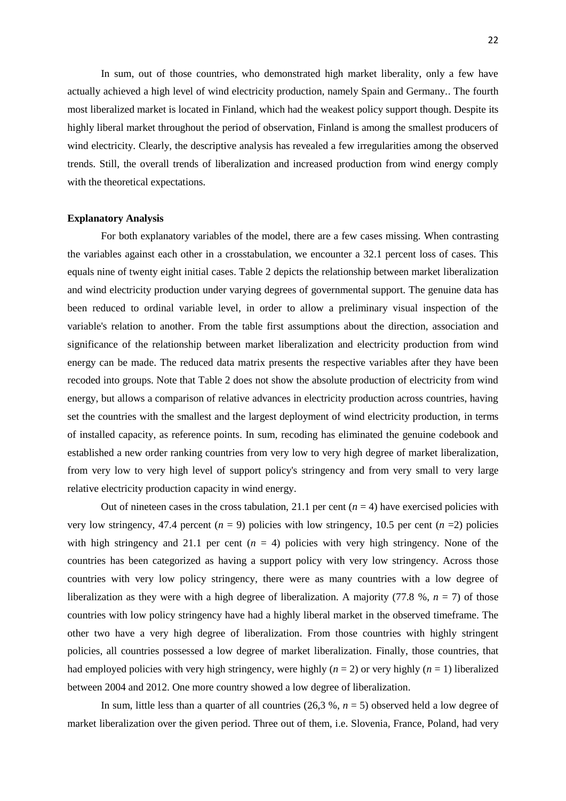In sum, out of those countries, who demonstrated high market liberality, only a few have actually achieved a high level of wind electricity production, namely Spain and Germany.. The fourth most liberalized market is located in Finland, which had the weakest policy support though. Despite its highly liberal market throughout the period of observation, Finland is among the smallest producers of wind electricity. Clearly, the descriptive analysis has revealed a few irregularities among the observed trends. Still, the overall trends of liberalization and increased production from wind energy comply with the theoretical expectations.

#### <span id="page-25-0"></span>**Explanatory Analysis**

For both explanatory variables of the model, there are a few cases missing. When contrasting the variables against each other in a crosstabulation, we encounter a 32.1 percent loss of cases. This equals nine of twenty eight initial cases. Table 2 depicts the relationship between market liberalization and wind electricity production under varying degrees of governmental support. The genuine data has been reduced to ordinal variable level, in order to allow a preliminary visual inspection of the variable's relation to another. From the table first assumptions about the direction, association and significance of the relationship between market liberalization and electricity production from wind energy can be made. The reduced data matrix presents the respective variables after they have been recoded into groups. Note that Table 2 does not show the absolute production of electricity from wind energy, but allows a comparison of relative advances in electricity production across countries, having set the countries with the smallest and the largest deployment of wind electricity production, in terms of installed capacity, as reference points. In sum, recoding has eliminated the genuine codebook and established a new order ranking countries from very low to very high degree of market liberalization, from very low to very high level of support policy's stringency and from very small to very large relative electricity production capacity in wind energy.

Out of nineteen cases in the cross tabulation, 21.1 per cent  $(n = 4)$  have exercised policies with very low stringency, 47.4 percent ( $n = 9$ ) policies with low stringency, 10.5 per cent ( $n = 2$ ) policies with high stringency and 21.1 per cent  $(n = 4)$  policies with very high stringency. None of the countries has been categorized as having a support policy with very low stringency. Across those countries with very low policy stringency, there were as many countries with a low degree of liberalization as they were with a high degree of liberalization. A majority (77.8 %,  $n = 7$ ) of those countries with low policy stringency have had a highly liberal market in the observed timeframe. The other two have a very high degree of liberalization. From those countries with highly stringent policies, all countries possessed a low degree of market liberalization. Finally, those countries, that had employed policies with very high stringency, were highly  $(n = 2)$  or very highly  $(n = 1)$  liberalized between 2004 and 2012. One more country showed a low degree of liberalization.

In sum, little less than a quarter of all countries (26,3 %, *n* = 5) observed held a low degree of market liberalization over the given period. Three out of them, i.e. Slovenia, France, Poland, had very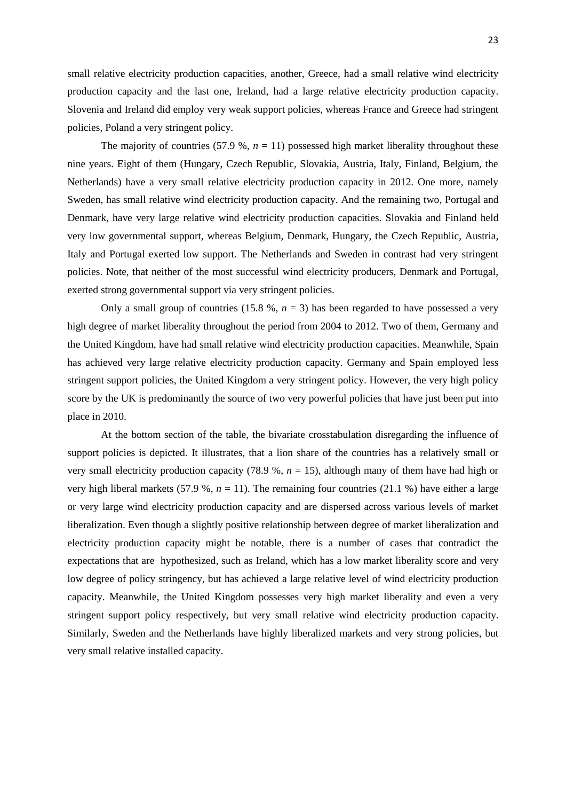small relative electricity production capacities, another, Greece, had a small relative wind electricity production capacity and the last one, Ireland, had a large relative electricity production capacity. Slovenia and Ireland did employ very weak support policies, whereas France and Greece had stringent policies, Poland a very stringent policy.

The majority of countries (57.9 %,  $n = 11$ ) possessed high market liberality throughout these nine years. Eight of them (Hungary, Czech Republic, Slovakia, Austria, Italy, Finland, Belgium, the Netherlands) have a very small relative electricity production capacity in 2012. One more, namely Sweden, has small relative wind electricity production capacity. And the remaining two, Portugal and Denmark, have very large relative wind electricity production capacities. Slovakia and Finland held very low governmental support, whereas Belgium, Denmark, Hungary, the Czech Republic, Austria, Italy and Portugal exerted low support. The Netherlands and Sweden in contrast had very stringent policies. Note, that neither of the most successful wind electricity producers, Denmark and Portugal, exerted strong governmental support via very stringent policies.

Only a small group of countries (15.8 %,  $n = 3$ ) has been regarded to have possessed a very high degree of market liberality throughout the period from 2004 to 2012. Two of them, Germany and the United Kingdom, have had small relative wind electricity production capacities. Meanwhile, Spain has achieved very large relative electricity production capacity. Germany and Spain employed less stringent support policies, the United Kingdom a very stringent policy. However, the very high policy score by the UK is predominantly the source of two very powerful policies that have just been put into place in 2010.

At the bottom section of the table, the bivariate crosstabulation disregarding the influence of support policies is depicted. It illustrates, that a lion share of the countries has a relatively small or very small electricity production capacity (78.9 %,  $n = 15$ ), although many of them have had high or very high liberal markets (57.9 %,  $n = 11$ ). The remaining four countries (21.1 %) have either a large or very large wind electricity production capacity and are dispersed across various levels of market liberalization. Even though a slightly positive relationship between degree of market liberalization and electricity production capacity might be notable, there is a number of cases that contradict the expectations that are hypothesized, such as Ireland, which has a low market liberality score and very low degree of policy stringency, but has achieved a large relative level of wind electricity production capacity. Meanwhile, the United Kingdom possesses very high market liberality and even a very stringent support policy respectively, but very small relative wind electricity production capacity. Similarly, Sweden and the Netherlands have highly liberalized markets and very strong policies, but very small relative installed capacity.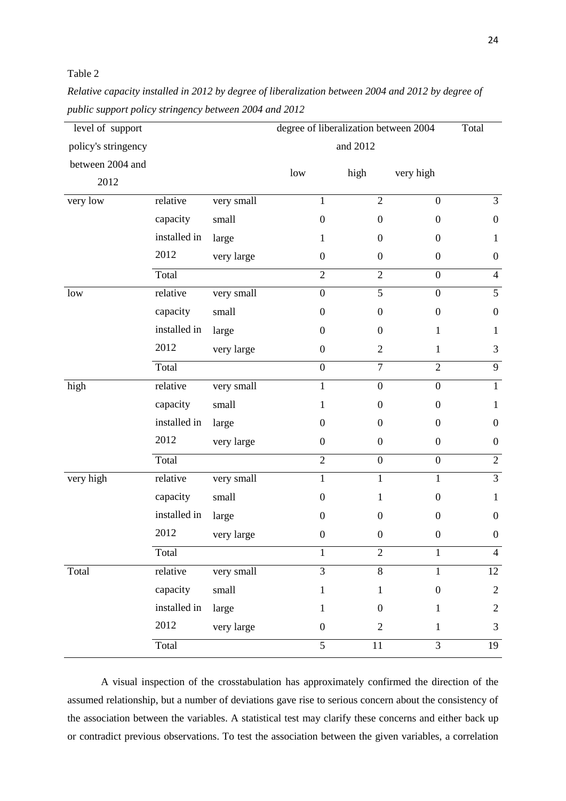# Table 2

| level of support    |              |            | degree of liberalization between 2004<br>Total |                  |                  |                  |
|---------------------|--------------|------------|------------------------------------------------|------------------|------------------|------------------|
| policy's stringency |              |            | and 2012                                       |                  |                  |                  |
| between 2004 and    |              |            | low                                            | high             | very high        |                  |
| 2012                |              |            |                                                |                  |                  |                  |
| very low            | relative     | very small | $\mathbf{1}$                                   | $\overline{2}$   | $\overline{0}$   | $\overline{3}$   |
|                     | capacity     | small      | $\boldsymbol{0}$                               | $\mathbf{0}$     | $\mathbf{0}$     | $\boldsymbol{0}$ |
|                     | installed in | large      | 1                                              | $\boldsymbol{0}$ | $\boldsymbol{0}$ | $\mathbf{1}$     |
|                     | 2012         | very large | $\boldsymbol{0}$                               | $\boldsymbol{0}$ | $\boldsymbol{0}$ | $\boldsymbol{0}$ |
|                     | Total        |            | $\overline{2}$                                 | $\overline{2}$   | $\boldsymbol{0}$ | $\overline{4}$   |
| low                 | relative     | very small | $\boldsymbol{0}$                               | $\overline{5}$   | $\boldsymbol{0}$ | 5                |
|                     | capacity     | small      | $\boldsymbol{0}$                               | $\boldsymbol{0}$ | $\boldsymbol{0}$ | $\boldsymbol{0}$ |
|                     | installed in | large      | $\boldsymbol{0}$                               | $\boldsymbol{0}$ | $\mathbf{1}$     | $\mathbf{1}$     |
|                     | 2012         | very large | $\boldsymbol{0}$                               | $\mathfrak{2}$   | $\mathbf{1}$     | 3                |
|                     | Total        |            | $\boldsymbol{0}$                               | $\overline{7}$   | $\overline{2}$   | 9                |
| high                | relative     | very small | $\mathbf{1}$                                   | $\boldsymbol{0}$ | $\boldsymbol{0}$ | $\mathbf{1}$     |
|                     | capacity     | small      | $\mathbf{1}$                                   | $\boldsymbol{0}$ | $\boldsymbol{0}$ | $\mathbf{1}$     |
|                     | installed in | large      | $\boldsymbol{0}$                               | $\mathbf{0}$     | $\boldsymbol{0}$ | $\boldsymbol{0}$ |
|                     | 2012         | very large | $\boldsymbol{0}$                               | $\boldsymbol{0}$ | $\boldsymbol{0}$ | $\boldsymbol{0}$ |
|                     | Total        |            | $\overline{2}$                                 | $\boldsymbol{0}$ | $\boldsymbol{0}$ | $\overline{2}$   |
| very high           | relative     | very small | $\mathbf{1}$                                   | $\mathbf{1}$     | $\mathbf{1}$     | $\overline{3}$   |
|                     | capacity     | small      | $\boldsymbol{0}$                               | 1                | $\boldsymbol{0}$ | 1                |
|                     | installed in | large      | $\boldsymbol{0}$                               | $\mathbf{0}$     | $\boldsymbol{0}$ | $\boldsymbol{0}$ |
|                     | 2012         | very large | $\boldsymbol{0}$                               | $\boldsymbol{0}$ | $\boldsymbol{0}$ | $\boldsymbol{0}$ |
|                     | Total        |            | $\mathbf{1}$                                   | $\overline{c}$   | $\mathbf{1}$     | $\overline{4}$   |
| Total               | relative     | very small | 3                                              | $\,8\,$          | $\mathbf{1}$     | 12               |
|                     | capacity     | small      | 1                                              | 1                | $\boldsymbol{0}$ | $\mathbf{2}$     |
|                     | installed in | large      | 1                                              | $\boldsymbol{0}$ | $\mathbf{1}$     | $\overline{2}$   |
|                     | 2012         | very large | $\boldsymbol{0}$                               | $\mathbf{2}$     | $\mathbf{1}$     | 3                |
|                     | Total        |            | 5                                              | 11               | $\mathfrak{Z}$   | 19               |

*Relative capacity installed in 2012 by degree of liberalization between 2004 and 2012 by degree of public support policy stringency between 2004 and 2012* 

A visual inspection of the crosstabulation has approximately confirmed the direction of the assumed relationship, but a number of deviations gave rise to serious concern about the consistency of the association between the variables. A statistical test may clarify these concerns and either back up or contradict previous observations. To test the association between the given variables, a correlation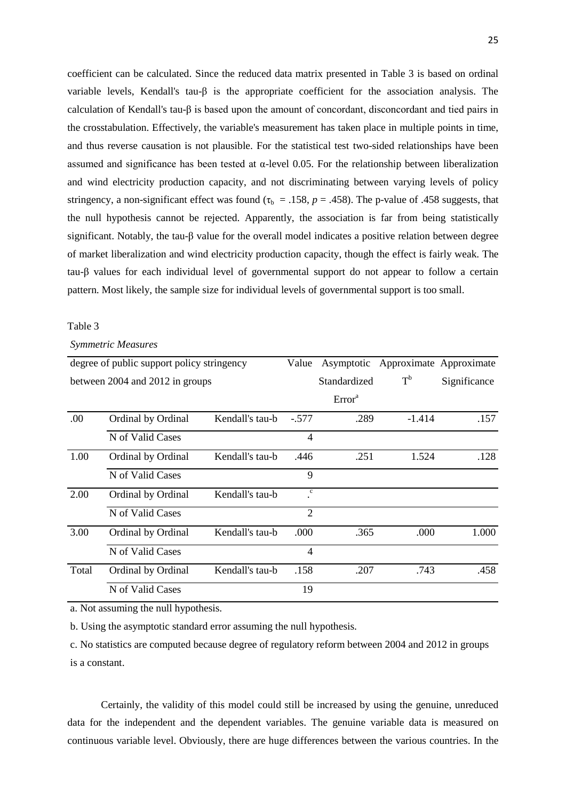coefficient can be calculated. Since the reduced data matrix presented in Table 3 is based on ordinal variable levels, Kendall's tau- $\beta$  is the appropriate coefficient for the association analysis. The calculation of Kendall's tau-β is based upon the amount of concordant, disconcordant and tied pairs in the crosstabulation. Effectively, the variable's measurement has taken place in multiple points in time, and thus reverse causation is not plausible. For the statistical test two-sided relationships have been assumed and significance has been tested at α-level 0.05. For the relationship between liberalization and wind electricity production capacity, and not discriminating between varying levels of policy stringency, a non-significant effect was found ( $\tau_b$  = .158,  $p = .458$ ). The p-value of .458 suggests, that the null hypothesis cannot be rejected. Apparently, the association is far from being statistically significant. Notably, the tau-β value for the overall model indicates a positive relation between degree of market liberalization and wind electricity production capacity, though the effect is fairly weak. The tau-β values for each individual level of governmental support do not appear to follow a certain pattern. Most likely, the sample size for individual levels of governmental support is too small.

#### Table 3

*Symmetric Measures*

| degree of public support policy stringency |                    |                 | Value          | Asymptotic         |              | Approximate Approximate |
|--------------------------------------------|--------------------|-----------------|----------------|--------------------|--------------|-------------------------|
| between 2004 and 2012 in groups            |                    |                 | Standardized   | $T^b$              | Significance |                         |
|                                            |                    |                 |                | Error <sup>a</sup> |              |                         |
| .00                                        | Ordinal by Ordinal | Kendall's tau-b | $-.577$        | .289               | $-1.414$     | .157                    |
|                                            | N of Valid Cases   |                 | $\overline{4}$ |                    |              |                         |
| 1.00                                       | Ordinal by Ordinal | Kendall's tau-b | .446           | .251               | 1.524        | .128                    |
|                                            | N of Valid Cases   |                 | 9              |                    |              |                         |
| 2.00                                       | Ordinal by Ordinal | Kendall's tau-b | $\mathbf c$    |                    |              |                         |
|                                            | N of Valid Cases   |                 | 2              |                    |              |                         |
| 3.00                                       | Ordinal by Ordinal | Kendall's tau-b | .000           | .365               | .000         | 1.000                   |
|                                            | N of Valid Cases   |                 | $\overline{4}$ |                    |              |                         |
| Total                                      | Ordinal by Ordinal | Kendall's tau-b | .158           | .207               | .743         | .458                    |
|                                            | N of Valid Cases   |                 | 19             |                    |              |                         |

a. Not assuming the null hypothesis.

b. Using the asymptotic standard error assuming the null hypothesis.

c. No statistics are computed because degree of regulatory reform between 2004 and 2012 in groups is a constant.

Certainly, the validity of this model could still be increased by using the genuine, unreduced data for the independent and the dependent variables. The genuine variable data is measured on continuous variable level. Obviously, there are huge differences between the various countries. In the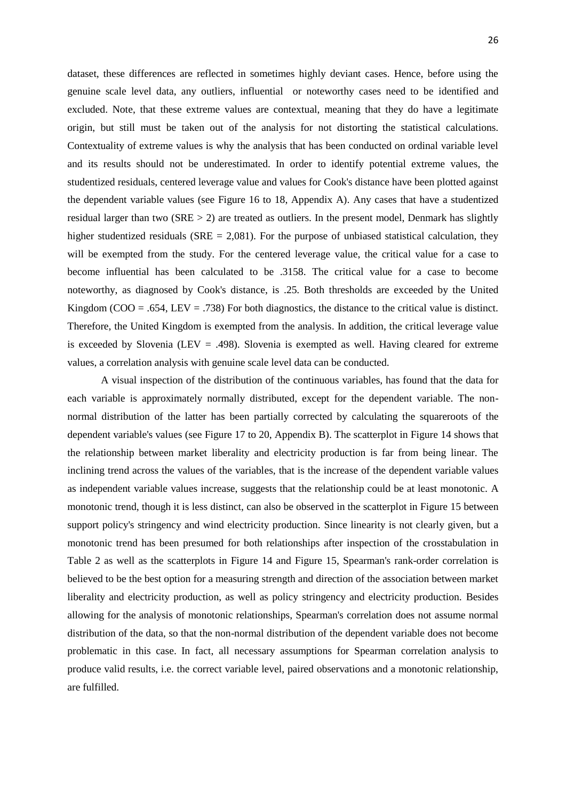dataset, these differences are reflected in sometimes highly deviant cases. Hence, before using the genuine scale level data, any outliers, influential or noteworthy cases need to be identified and excluded. Note, that these extreme values are contextual, meaning that they do have a legitimate origin, but still must be taken out of the analysis for not distorting the statistical calculations. Contextuality of extreme values is why the analysis that has been conducted on ordinal variable level and its results should not be underestimated. In order to identify potential extreme values, the studentized residuals, centered leverage value and values for Cook's distance have been plotted against the dependent variable values (see Figure 16 to 18, Appendix A). Any cases that have a studentized residual larger than two ( $SRE > 2$ ) are treated as outliers. In the present model, Denmark has slightly higher studentized residuals ( $SRE = 2,081$ ). For the purpose of unbiased statistical calculation, they will be exempted from the study. For the centered leverage value, the critical value for a case to become influential has been calculated to be .3158. The critical value for a case to become noteworthy, as diagnosed by Cook's distance, is .25. Both thresholds are exceeded by the United Kingdom ( $COO = .654$ , LEV = .738) For both diagnostics, the distance to the critical value is distinct. Therefore, the United Kingdom is exempted from the analysis. In addition, the critical leverage value is exceeded by Slovenia (LEV = .498). Slovenia is exempted as well. Having cleared for extreme values, a correlation analysis with genuine scale level data can be conducted.

A visual inspection of the distribution of the continuous variables, has found that the data for each variable is approximately normally distributed, except for the dependent variable. The nonnormal distribution of the latter has been partially corrected by calculating the squareroots of the dependent variable's values (see Figure 17 to 20, Appendix B). The scatterplot in Figure 14 shows that the relationship between market liberality and electricity production is far from being linear. The inclining trend across the values of the variables, that is the increase of the dependent variable values as independent variable values increase, suggests that the relationship could be at least monotonic. A monotonic trend, though it is less distinct, can also be observed in the scatterplot in Figure 15 between support policy's stringency and wind electricity production. Since linearity is not clearly given, but a monotonic trend has been presumed for both relationships after inspection of the crosstabulation in Table 2 as well as the scatterplots in Figure 14 and Figure 15, Spearman's rank-order correlation is believed to be the best option for a measuring strength and direction of the association between market liberality and electricity production, as well as policy stringency and electricity production. Besides allowing for the analysis of monotonic relationships, Spearman's correlation does not assume normal distribution of the data, so that the non-normal distribution of the dependent variable does not become problematic in this case. In fact, all necessary assumptions for Spearman correlation analysis to produce valid results, i.e. the correct variable level, paired observations and a monotonic relationship, are fulfilled.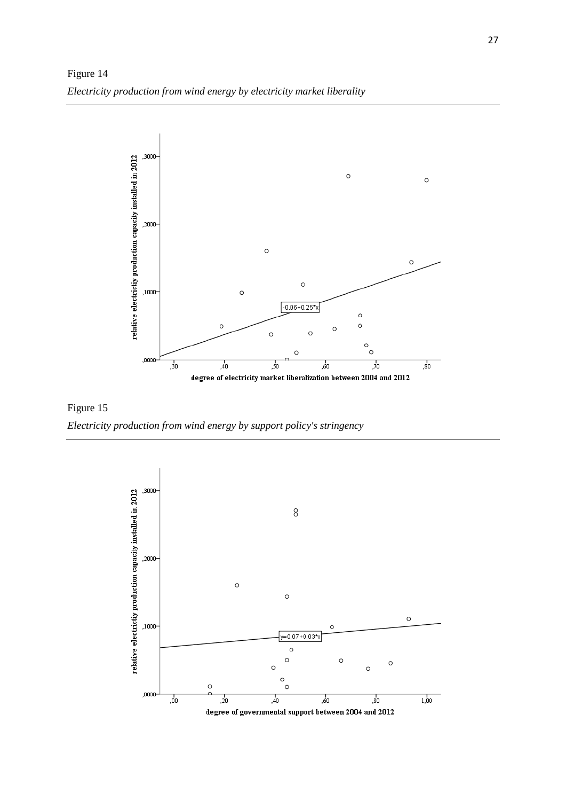

Figure 15 *Electricity production from wind energy by support policy's stringency*

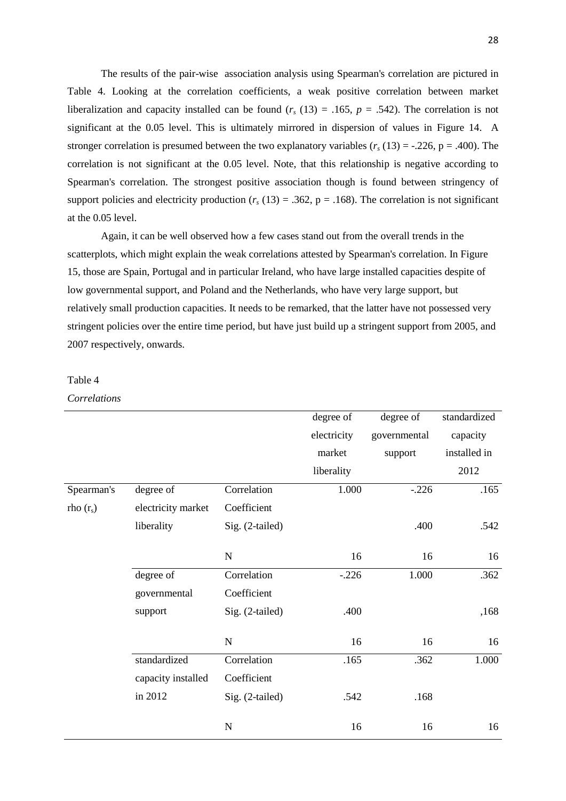The results of the pair-wise association analysis using Spearman's correlation are pictured in Table 4. Looking at the correlation coefficients, a weak positive correlation between market liberalization and capacity installed can be found  $(r_s(13) = .165, p = .542)$ . The correlation is not significant at the 0.05 level. This is ultimately mirrored in dispersion of values in Figure 14. A stronger correlation is presumed between the two explanatory variables  $(r<sub>s</sub> (13) = -.226, p = .400)$ . The correlation is not significant at the 0.05 level. Note, that this relationship is negative according to Spearman's correlation. The strongest positive association though is found between stringency of support policies and electricity production ( $r<sub>s</sub>$  (13) = .362, p = .168). The correlation is not significant at the 0.05 level.

Again, it can be well observed how a few cases stand out from the overall trends in the scatterplots, which might explain the weak correlations attested by Spearman's correlation. In Figure 15, those are Spain, Portugal and in particular Ireland, who have large installed capacities despite of low governmental support, and Poland and the Netherlands, who have very large support, but relatively small production capacities. It needs to be remarked, that the latter have not possessed very stringent policies over the entire time period, but have just build up a stringent support from 2005, and 2007 respectively, onwards.

# Table 4

#### *Correlations*

|                      |                    |                 | degree of   | degree of    | standardized |
|----------------------|--------------------|-----------------|-------------|--------------|--------------|
|                      |                    |                 | electricity | governmental | capacity     |
|                      |                    |                 | market      | support      | installed in |
|                      |                    |                 | liberality  |              | 2012         |
| Spearman's           | degree of          | Correlation     | 1.000       | $-.226$      | .165         |
| rho(r <sub>s</sub> ) | electricity market | Coefficient     |             |              |              |
|                      | liberality         | Sig. (2-tailed) |             | .400         | .542         |
|                      |                    | ${\bf N}$       | 16          | 16           | 16           |
|                      | degree of          | Correlation     | $-.226$     | 1.000        | .362         |
|                      | governmental       | Coefficient     |             |              |              |
|                      | support            | Sig. (2-tailed) | .400        |              | ,168         |
|                      |                    | $\mathbf N$     | 16          | 16           | 16           |
|                      | standardized       | Correlation     | .165        | .362         | 1.000        |
|                      | capacity installed | Coefficient     |             |              |              |
|                      | in 2012            | Sig. (2-tailed) | .542        | .168         |              |
|                      |                    | $\mathbf N$     | 16          | 16           | 16           |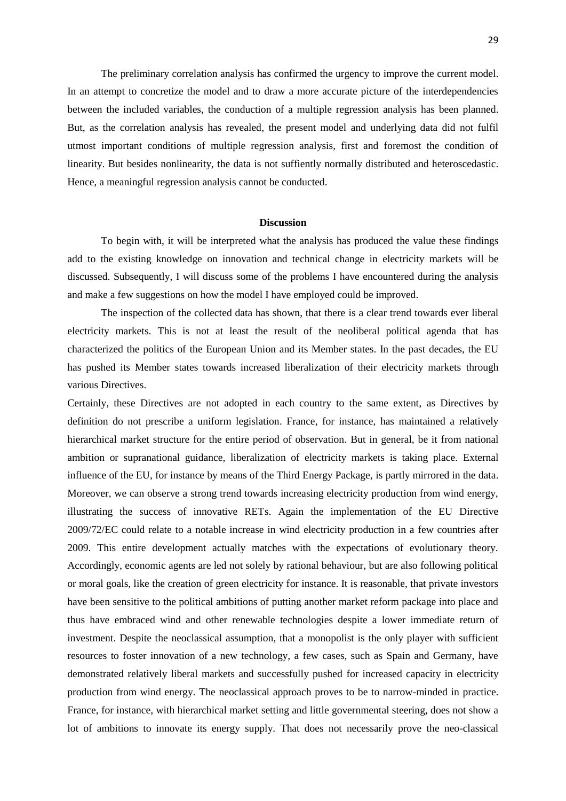The preliminary correlation analysis has confirmed the urgency to improve the current model. In an attempt to concretize the model and to draw a more accurate picture of the interdependencies between the included variables, the conduction of a multiple regression analysis has been planned. But, as the correlation analysis has revealed, the present model and underlying data did not fulfil utmost important conditions of multiple regression analysis, first and foremost the condition of linearity. But besides nonlinearity, the data is not suffiently normally distributed and heteroscedastic. Hence, a meaningful regression analysis cannot be conducted.

# **Discussion**

<span id="page-32-0"></span>To begin with, it will be interpreted what the analysis has produced the value these findings add to the existing knowledge on innovation and technical change in electricity markets will be discussed. Subsequently, I will discuss some of the problems I have encountered during the analysis and make a few suggestions on how the model I have employed could be improved.

The inspection of the collected data has shown, that there is a clear trend towards ever liberal electricity markets. This is not at least the result of the neoliberal political agenda that has characterized the politics of the European Union and its Member states. In the past decades, the EU has pushed its Member states towards increased liberalization of their electricity markets through various Directives.

Certainly, these Directives are not adopted in each country to the same extent, as Directives by definition do not prescribe a uniform legislation. France, for instance, has maintained a relatively hierarchical market structure for the entire period of observation. But in general, be it from national ambition or supranational guidance, liberalization of electricity markets is taking place. External influence of the EU, for instance by means of the Third Energy Package, is partly mirrored in the data. Moreover, we can observe a strong trend towards increasing electricity production from wind energy, illustrating the success of innovative RETs. Again the implementation of the EU Directive 2009/72/EC could relate to a notable increase in wind electricity production in a few countries after 2009. This entire development actually matches with the expectations of evolutionary theory. Accordingly, economic agents are led not solely by rational behaviour, but are also following political or moral goals, like the creation of green electricity for instance. It is reasonable, that private investors have been sensitive to the political ambitions of putting another market reform package into place and thus have embraced wind and other renewable technologies despite a lower immediate return of investment. Despite the neoclassical assumption, that a monopolist is the only player with sufficient resources to foster innovation of a new technology, a few cases, such as Spain and Germany, have demonstrated relatively liberal markets and successfully pushed for increased capacity in electricity production from wind energy. The neoclassical approach proves to be to narrow-minded in practice. France, for instance, with hierarchical market setting and little governmental steering, does not show a lot of ambitions to innovate its energy supply. That does not necessarily prove the neo-classical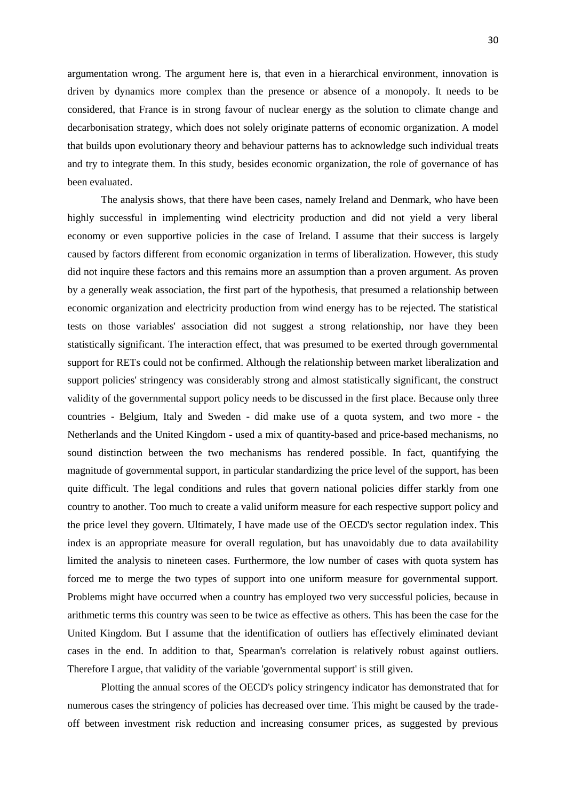argumentation wrong. The argument here is, that even in a hierarchical environment, innovation is driven by dynamics more complex than the presence or absence of a monopoly. It needs to be considered, that France is in strong favour of nuclear energy as the solution to climate change and decarbonisation strategy, which does not solely originate patterns of economic organization. A model that builds upon evolutionary theory and behaviour patterns has to acknowledge such individual treats and try to integrate them. In this study, besides economic organization, the role of governance of has been evaluated.

The analysis shows, that there have been cases, namely Ireland and Denmark, who have been highly successful in implementing wind electricity production and did not yield a very liberal economy or even supportive policies in the case of Ireland. I assume that their success is largely caused by factors different from economic organization in terms of liberalization. However, this study did not inquire these factors and this remains more an assumption than a proven argument. As proven by a generally weak association, the first part of the hypothesis, that presumed a relationship between economic organization and electricity production from wind energy has to be rejected. The statistical tests on those variables' association did not suggest a strong relationship, nor have they been statistically significant. The interaction effect, that was presumed to be exerted through governmental support for RETs could not be confirmed. Although the relationship between market liberalization and support policies' stringency was considerably strong and almost statistically significant, the construct validity of the governmental support policy needs to be discussed in the first place. Because only three countries - Belgium, Italy and Sweden - did make use of a quota system, and two more - the Netherlands and the United Kingdom - used a mix of quantity-based and price-based mechanisms, no sound distinction between the two mechanisms has rendered possible. In fact, quantifying the magnitude of governmental support, in particular standardizing the price level of the support, has been quite difficult. The legal conditions and rules that govern national policies differ starkly from one country to another. Too much to create a valid uniform measure for each respective support policy and the price level they govern. Ultimately, I have made use of the OECD's sector regulation index. This index is an appropriate measure for overall regulation, but has unavoidably due to data availability limited the analysis to nineteen cases. Furthermore, the low number of cases with quota system has forced me to merge the two types of support into one uniform measure for governmental support. Problems might have occurred when a country has employed two very successful policies, because in arithmetic terms this country was seen to be twice as effective as others. This has been the case for the United Kingdom. But I assume that the identification of outliers has effectively eliminated deviant cases in the end. In addition to that, Spearman's correlation is relatively robust against outliers. Therefore I argue, that validity of the variable 'governmental support' is still given.

Plotting the annual scores of the OECD's policy stringency indicator has demonstrated that for numerous cases the stringency of policies has decreased over time. This might be caused by the tradeoff between investment risk reduction and increasing consumer prices, as suggested by previous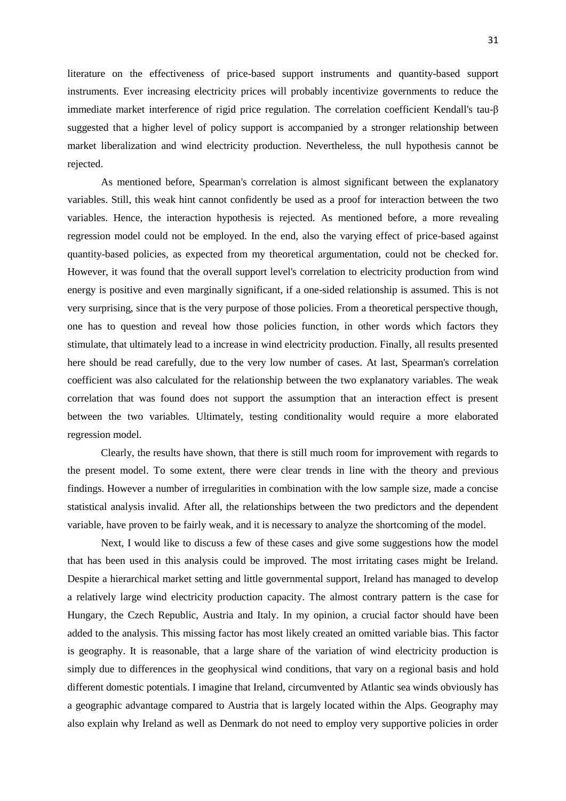literature on the effectiveness of price-based support instruments and quantity-based support instruments. Ever increasing electricity prices will probably incentivize governments to reduce the immediate market interference of rigid price regulation. The correlation coefficient Kendall's tau-β suggested that a higher level of policy support is accompanied by a stronger relationship between market liberalization and wind electricity production. Nevertheless, the null hypothesis cannot be rejected.

As mentioned before, Spearman's correlation is almost significant between the explanatory variables. Still, this weak hint cannot confidently be used as a proof for interaction between the two variables. Hence, the interaction hypothesis is rejected. As mentioned before, a more revealing regression model could not be employed. In the end, also the varying effect of price-based against quantity-based policies, as expected from my theoretical argumentation, could not be checked for. However, it was found that the overall support level's correlation to electricity production from wind energy is positive and even marginally significant, if a one-sided relationship is assumed. This is not very surprising, since that is the very purpose of those policies. From a theoretical perspective though, one has to question and reveal how those policies function, in other words which factors they stimulate, that ultimately lead to a increase in wind electricity production. Finally, all results presented here should be read carefully, due to the very low number of cases. At last, Spearman's correlation coefficient was also calculated for the relationship between the two explanatory variables. The weak correlation that was found does not support the assumption that an interaction effect is present between the two variables. Ultimately, testing conditionality would require a more elaborated regression model.

Clearly, the results have shown, that there is still much room for improvement with regards to the present model. To some extent, there were clear trends in line with the theory and previous findings. However a number of irregularities in combination with the low sample size, made a concise statistical analysis invalid. After all, the relationships between the two predictors and the dependent variable, have proven to be fairly weak, and it is necessary to analyze the shortcoming of the model.

Next, I would like to discuss a few of these cases and give some suggestions how the model that has been used in this analysis could be improved. The most irritating cases might be Ireland. Despite a hierarchical market setting and little governmental support, Ireland has managed to develop a relatively large wind electricity production capacity. The almost contrary pattern is the case for Hungary, the Czech Republic, Austria and Italy. In my opinion, a crucial factor should have been added to the analysis. This missing factor has most likely created an omitted variable bias. This factor is geography. It is reasonable, that a large share of the variation of wind electricity production is simply due to differences in the geophysical wind conditions, that vary on a regional basis and hold different domestic potentials. I imagine that Ireland, circumvented by Atlantic sea winds obviously has a geographic advantage compared to Austria that is largely located within the Alps. Geography may also explain why Ireland as well as Denmark do not need to employ very supportive policies in order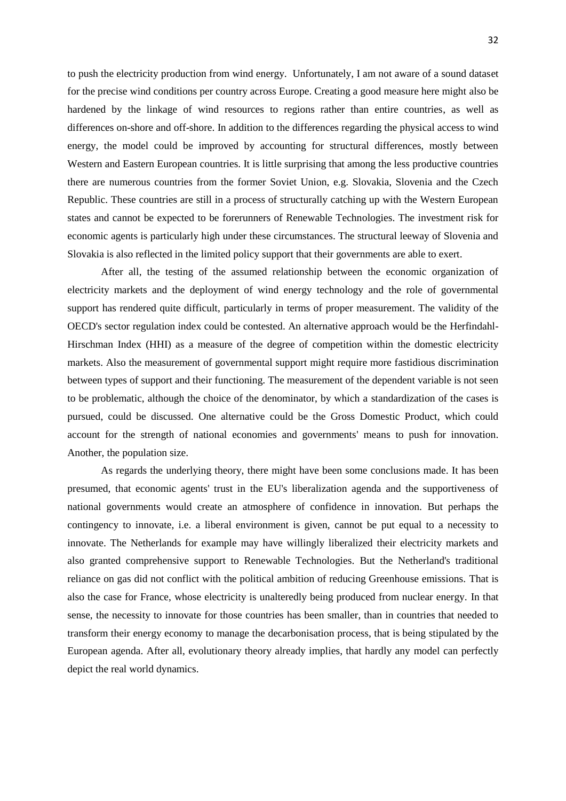to push the electricity production from wind energy. Unfortunately, I am not aware of a sound dataset for the precise wind conditions per country across Europe. Creating a good measure here might also be hardened by the linkage of wind resources to regions rather than entire countries, as well as differences on-shore and off-shore. In addition to the differences regarding the physical access to wind energy, the model could be improved by accounting for structural differences, mostly between Western and Eastern European countries. It is little surprising that among the less productive countries there are numerous countries from the former Soviet Union, e.g. Slovakia, Slovenia and the Czech Republic. These countries are still in a process of structurally catching up with the Western European states and cannot be expected to be forerunners of Renewable Technologies. The investment risk for economic agents is particularly high under these circumstances. The structural leeway of Slovenia and Slovakia is also reflected in the limited policy support that their governments are able to exert.

After all, the testing of the assumed relationship between the economic organization of electricity markets and the deployment of wind energy technology and the role of governmental support has rendered quite difficult, particularly in terms of proper measurement. The validity of the OECD's sector regulation index could be contested. An alternative approach would be the Herfindahl-Hirschman Index (HHI) as a measure of the degree of competition within the domestic electricity markets. Also the measurement of governmental support might require more fastidious discrimination between types of support and their functioning. The measurement of the dependent variable is not seen to be problematic, although the choice of the denominator, by which a standardization of the cases is pursued, could be discussed. One alternative could be the Gross Domestic Product, which could account for the strength of national economies and governments' means to push for innovation. Another, the population size.

As regards the underlying theory, there might have been some conclusions made. It has been presumed, that economic agents' trust in the EU's liberalization agenda and the supportiveness of national governments would create an atmosphere of confidence in innovation. But perhaps the contingency to innovate, i.e. a liberal environment is given, cannot be put equal to a necessity to innovate. The Netherlands for example may have willingly liberalized their electricity markets and also granted comprehensive support to Renewable Technologies. But the Netherland's traditional reliance on gas did not conflict with the political ambition of reducing Greenhouse emissions. That is also the case for France, whose electricity is unalteredly being produced from nuclear energy. In that sense, the necessity to innovate for those countries has been smaller, than in countries that needed to transform their energy economy to manage the decarbonisation process, that is being stipulated by the European agenda. After all, evolutionary theory already implies, that hardly any model can perfectly depict the real world dynamics.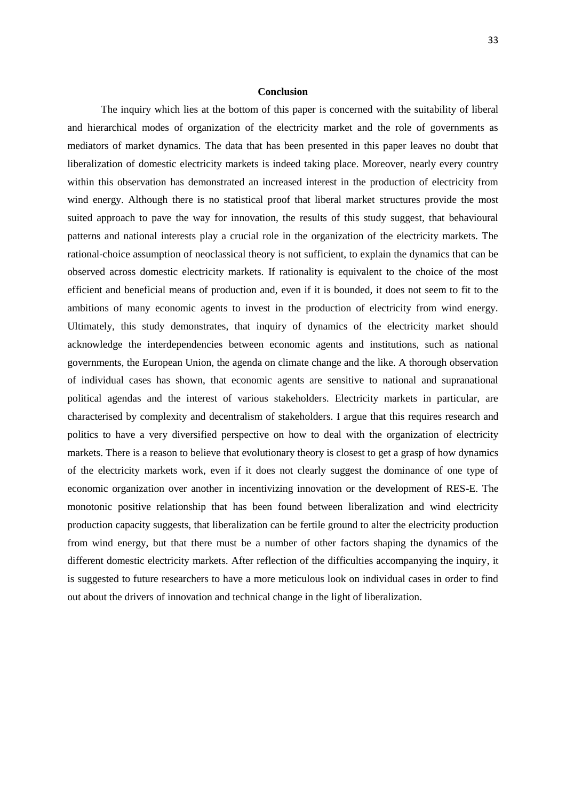## **Conclusion**

<span id="page-36-1"></span><span id="page-36-0"></span>The inquiry which lies at the bottom of this paper is concerned with the suitability of liberal and hierarchical modes of organization of the electricity market and the role of governments as mediators of market dynamics. The data that has been presented in this paper leaves no doubt that liberalization of domestic electricity markets is indeed taking place. Moreover, nearly every country within this observation has demonstrated an increased interest in the production of electricity from wind energy. Although there is no statistical proof that liberal market structures provide the most suited approach to pave the way for innovation, the results of this study suggest, that behavioural patterns and national interests play a crucial role in the organization of the electricity markets. The rational-choice assumption of neoclassical theory is not sufficient, to explain the dynamics that can be observed across domestic electricity markets. If rationality is equivalent to the choice of the most efficient and beneficial means of production and, even if it is bounded, it does not seem to fit to the ambitions of many economic agents to invest in the production of electricity from wind energy. Ultimately, this study demonstrates, that inquiry of dynamics of the electricity market should acknowledge the interdependencies between economic agents and institutions, such as national governments, the European Union, the agenda on climate change and the like. A thorough observation of individual cases has shown, that economic agents are sensitive to national and supranational political agendas and the interest of various stakeholders. Electricity markets in particular, are characterised by complexity and decentralism of stakeholders. I argue that this requires research and politics to have a very diversified perspective on how to deal with the organization of electricity markets. There is a reason to believe that evolutionary theory is closest to get a grasp of how dynamics of the electricity markets work, even if it does not clearly suggest the dominance of one type of economic organization over another in incentivizing innovation or the development of RES-E. The monotonic positive relationship that has been found between liberalization and wind electricity production capacity suggests, that liberalization can be fertile ground to alter the electricity production from wind energy, but that there must be a number of other factors shaping the dynamics of the different domestic electricity markets. After reflection of the difficulties accompanying the inquiry, it is suggested to future researchers to have a more meticulous look on individual cases in order to find out about the drivers of innovation and technical change in the light of liberalization.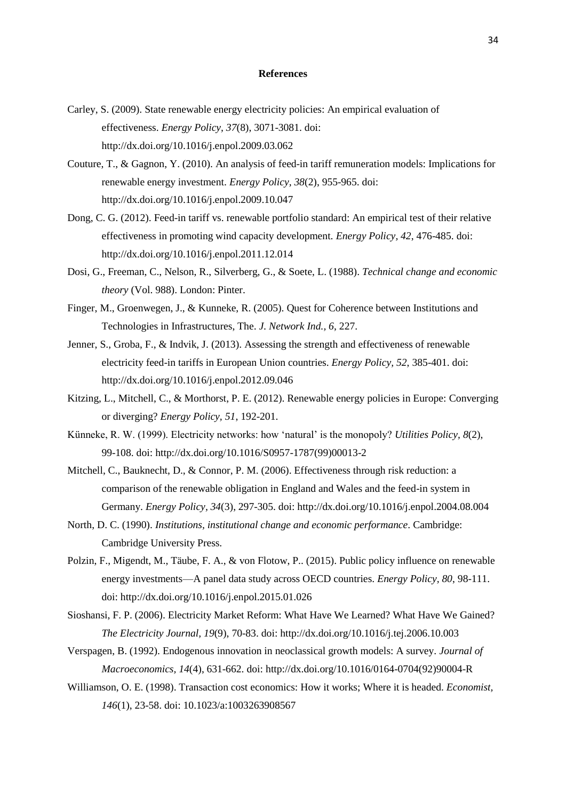#### **References**

- <span id="page-37-11"></span>Carley, S. (2009). State renewable energy electricity policies: An empirical evaluation of effectiveness. *Energy Policy, 37*(8), 3071-3081. doi: http://dx.doi.org/10.1016/j.enpol.2009.03.062
- <span id="page-37-13"></span>Couture, T., & Gagnon, Y. (2010). An analysis of feed-in tariff remuneration models: Implications for renewable energy investment. *Energy Policy, 38*(2), 955-965. doi: http://dx.doi.org/10.1016/j.enpol.2009.10.047
- <span id="page-37-10"></span>Dong, C. G. (2012). Feed-in tariff vs. renewable portfolio standard: An empirical test of their relative effectiveness in promoting wind capacity development. *Energy Policy, 42*, 476-485. doi: http://dx.doi.org/10.1016/j.enpol.2011.12.014
- <span id="page-37-2"></span>Dosi, G., Freeman, C., Nelson, R., Silverberg, G., & Soete, L. (1988). *Technical change and economic theory* (Vol. 988). London: Pinter.
- <span id="page-37-6"></span>Finger, M., Groenwegen, J., & Kunneke, R. (2005). Quest for Coherence between Institutions and Technologies in Infrastructures, The. *J. Network Ind., 6*, 227.
- <span id="page-37-12"></span>Jenner, S., Groba, F., & Indvik, J. (2013). Assessing the strength and effectiveness of renewable electricity feed-in tariffs in European Union countries. *Energy Policy, 52*, 385-401. doi: http://dx.doi.org/10.1016/j.enpol.2012.09.046
- <span id="page-37-7"></span>Kitzing, L., Mitchell, C., & Morthorst, P. E. (2012). Renewable energy policies in Europe: Converging or diverging? *Energy Policy, 51*, 192-201.
- <span id="page-37-1"></span>Künneke, R. W. (1999). Electricity networks: how 'natural' is the monopoly? *Utilities Policy, 8*(2), 99-108. doi: http://dx.doi.org/10.1016/S0957-1787(99)00013-2
- <span id="page-37-8"></span>Mitchell, C., Bauknecht, D., & Connor, P. M. (2006). Effectiveness through risk reduction: a comparison of the renewable obligation in England and Wales and the feed-in system in Germany. *Energy Policy, 34*(3), 297-305. doi: http://dx.doi.org/10.1016/j.enpol.2004.08.004
- <span id="page-37-3"></span>North, D. C. (1990). *Institutions, institutional change and economic performance*. Cambridge: Cambridge University Press.
- <span id="page-37-9"></span>Polzin, F., Migendt, M., Täube, F. A., & von Flotow, P.. (2015). Public policy influence on renewable energy investments—A panel data study across OECD countries. *Energy Policy, 80*, 98-111. doi: http://dx.doi.org/10.1016/j.enpol.2015.01.026
- <span id="page-37-0"></span>Sioshansi, F. P. (2006). Electricity Market Reform: What Have We Learned? What Have We Gained? *The Electricity Journal, 19*(9), 70-83. doi: http://dx.doi.org/10.1016/j.tej.2006.10.003
- <span id="page-37-5"></span>Verspagen, B. (1992). Endogenous innovation in neoclassical growth models: A survey. *Journal of Macroeconomics, 14*(4), 631-662. doi: http://dx.doi.org/10.1016/0164-0704(92)90004-R
- <span id="page-37-4"></span>Williamson, O. E. (1998). Transaction cost economics: How it works; Where it is headed. *Economist, 146*(1), 23-58. doi: 10.1023/a:1003263908567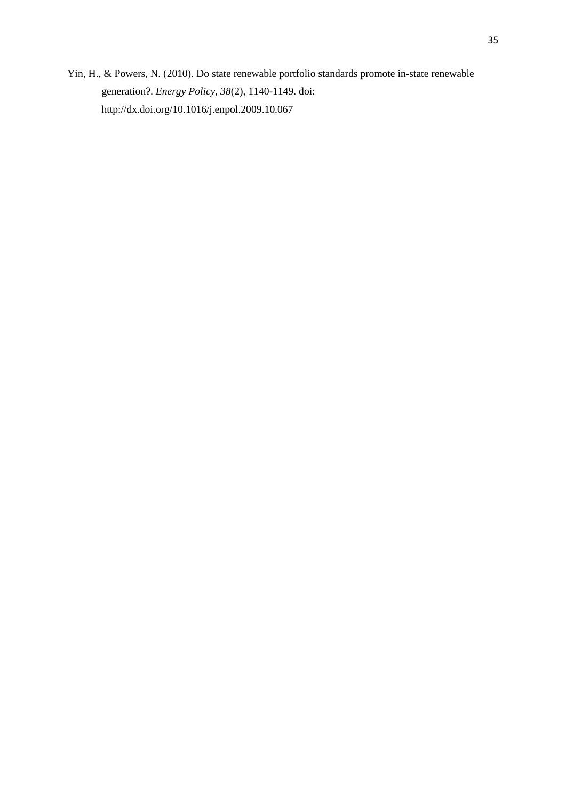<span id="page-38-0"></span>Yin, H., & Powers, N. (2010). Do state renewable portfolio standards promote in-state renewable generationʔ. *Energy Policy, 38*(2), 1140-1149. doi: http://dx.doi.org/10.1016/j.enpol.2009.10.067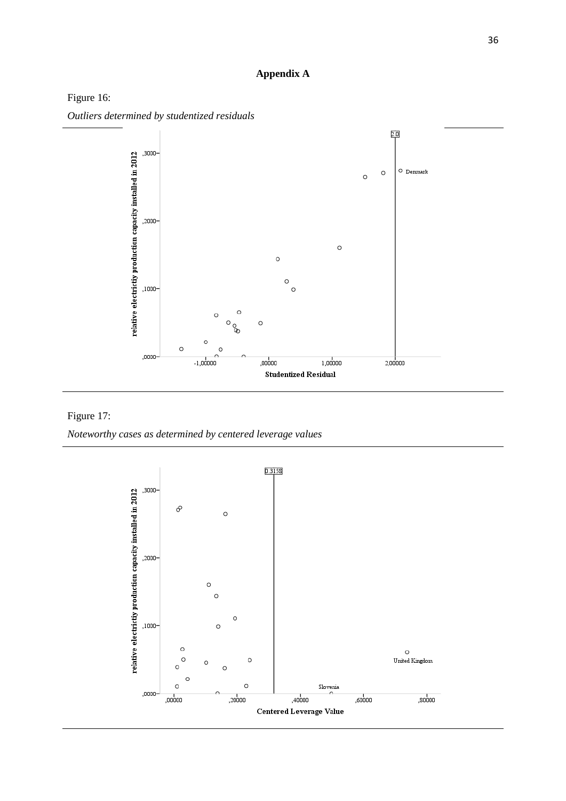# **Appendix A**

<span id="page-39-0"></span>Figure 16: *Outliers determined by studentized residuals*



Figure 17: *Noteworthy cases as determined by centered leverage values*

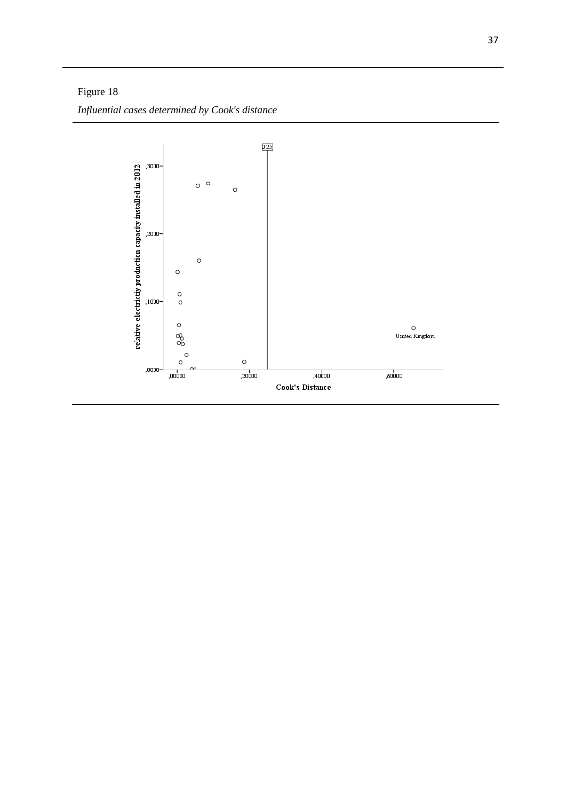*Influential cases determined by Cook's distance*

<span id="page-40-0"></span>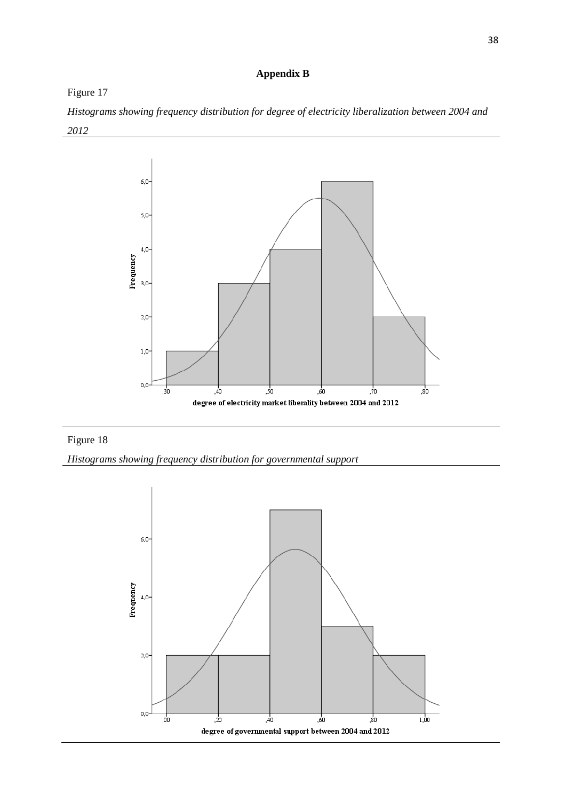# **Appendix B**

# Figure 17



*Histograms showing frequency distribution for degree of electricity liberalization between 2004 and 2012*



*Histograms showing frequency distribution for governmental support*